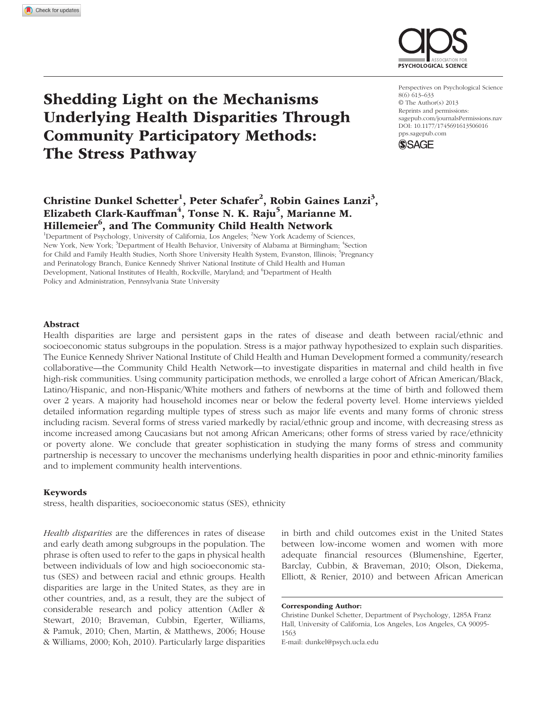

# **SYCHOLOGICAL S**

Perspectives on Psychological Science 8(6) 613–633 © The Author(s) 2013 Reprints and permissions: sagepub.com/journalsPermissions.nav DOI: 10.1177/1745691613506016 pps.sagepub.com



## Christine Dunkel Schetter<sup>1</sup>, Peter Schafer<sup>2</sup>, Robin Gaines Lanzi<sup>3</sup>, Elizabeth Clark-Kauffman<sup>4</sup>, Tonse N. K. Raju<sup>5</sup>, Marianne M. Hillemeier<sup>6</sup>, and The Community Child Health Network

Department of Psychology, University of California, Los Angeles; <sup>2</sup>New York Academy of Sciences, New York, New York; <sup>3</sup>Department of Health Behavior, University of Alabama at Birmingham; <sup>4</sup>Section for Child and Family Health Studies, North Shore University Health System, Evanston, Illinois; <sup>5</sup>Pregnancy and Perinatology Branch, Eunice Kennedy Shriver National Institute of Child Health and Human Development, National Institutes of Health, Rockville, Maryland; and <sup>6</sup>Department of Health Policy and Administration, Pennsylvania State University

#### Abstract

Health disparities are large and persistent gaps in the rates of disease and death between racial/ethnic and socioeconomic status subgroups in the population. Stress is a major pathway hypothesized to explain such disparities. The Eunice Kennedy Shriver National Institute of Child Health and Human Development formed a community/research collaborative—the Community Child Health Network—to investigate disparities in maternal and child health in five high-risk communities. Using community participation methods, we enrolled a large cohort of African American/Black, Latino/Hispanic, and non-Hispanic/White mothers and fathers of newborns at the time of birth and followed them over 2 years. A majority had household incomes near or below the federal poverty level. Home interviews yielded detailed information regarding multiple types of stress such as major life events and many forms of chronic stress including racism. Several forms of stress varied markedly by racial/ethnic group and income, with decreasing stress as income increased among Caucasians but not among African Americans; other forms of stress varied by race/ethnicity or poverty alone. We conclude that greater sophistication in studying the many forms of stress and community partnership is necessary to uncover the mechanisms underlying health disparities in poor and ethnic-minority families and to implement community health interventions.

#### Keywords

stress, health disparities, socioeconomic status (SES), ethnicity

*Health disparities* are the differences in rates of disease and early death among subgroups in the population. The phrase is often used to refer to the gaps in physical health between individuals of low and high socioeconomic status (SES) and between racial and ethnic groups. Health disparities are large in the United States, as they are in other countries, and, as a result, they are the subject of considerable research and policy attention (Adler & Stewart, 2010; Braveman, Cubbin, Egerter, Williams, & Pamuk, 2010; Chen, Martin, & Matthews, 2006; House & Williams, 2000; Koh, 2010). Particularly large disparities

in birth and child outcomes exist in the United States between low-income women and women with more adequate financial resources (Blumenshine, Egerter, Barclay, Cubbin, & Braveman, 2010; Olson, Diekema, Elliott, & Renier, 2010) and between African American

Corresponding Author:

Christine Dunkel Schetter, Department of Psychology, 1285A Franz Hall, University of California, Los Angeles, Los Angeles, CA 90095- 1563

E-mail: [dunkel@psych.ucla.edu](mailto:dunkel@psych.ucla.edu)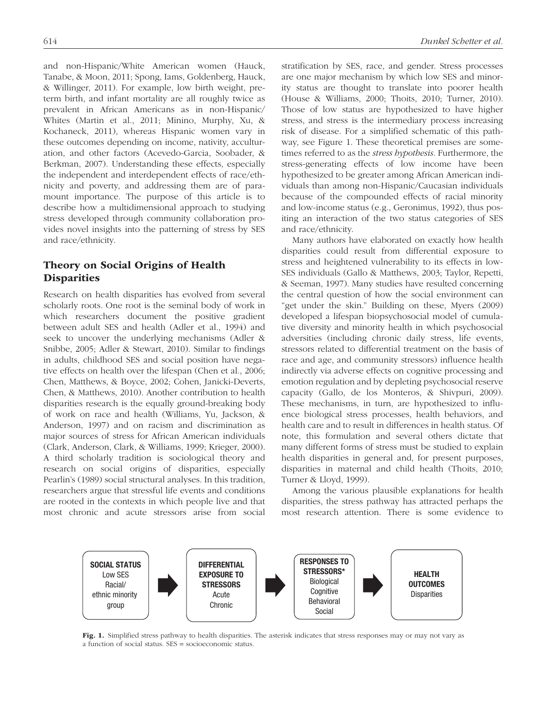and non-Hispanic/White American women (Hauck, Tanabe, & Moon, 2011; Spong, Iams, Goldenberg, Hauck, & Willinger, 2011). For example, low birth weight, preterm birth, and infant mortality are all roughly twice as prevalent in African Americans as in non-Hispanic/ Whites (Martin et al., 2011; Minino, Murphy, Xu, & Kochaneck, 2011), whereas Hispanic women vary in these outcomes depending on income, nativity, acculturation, and other factors (Acevedo-Garcia, Soobader, & Berkman, 2007). Understanding these effects, especially the independent and interdependent effects of race/ethnicity and poverty, and addressing them are of paramount importance. The purpose of this article is to describe how a multidimensional approach to studying stress developed through community collaboration provides novel insights into the patterning of stress by SES and race/ethnicity.

## Theory on Social Origins of Health Disparities

Research on health disparities has evolved from several scholarly roots. One root is the seminal body of work in which researchers document the positive gradient between adult SES and health (Adler et al., 1994) and seek to uncover the underlying mechanisms (Adler & Snibbe, 2005; Adler & Stewart, 2010). Similar to findings in adults, childhood SES and social position have negative effects on health over the lifespan (Chen et al., 2006; Chen, Matthews, & Boyce, 2002; Cohen, Janicki-Deverts, Chen, & Matthews, 2010). Another contribution to health disparities research is the equally ground-breaking body of work on race and health (Williams, Yu, Jackson, & Anderson, 1997) and on racism and discrimination as major sources of stress for African American individuals (Clark, Anderson, Clark, & Williams, 1999; Krieger, 2000). A third scholarly tradition is sociological theory and research on social origins of disparities, especially Pearlin's (1989) social structural analyses. In this tradition, researchers argue that stressful life events and conditions are rooted in the contexts in which people live and that most chronic and acute stressors arise from social stratification by SES, race, and gender. Stress processes are one major mechanism by which low SES and minority status are thought to translate into poorer health (House & Williams, 2000; Thoits, 2010; Turner, 2010). Those of low status are hypothesized to have higher stress, and stress is the intermediary process increasing risk of disease. For a simplified schematic of this pathway, see Figure 1. These theoretical premises are sometimes referred to as the *stress hypothesis*. Furthermore, the stress-generating effects of low income have been hypothesized to be greater among African American individuals than among non-Hispanic/Caucasian individuals because of the compounded effects of racial minority and low-income status (e.g., Geronimus, 1992), thus positing an interaction of the two status categories of SES and race/ethnicity.

Many authors have elaborated on exactly how health disparities could result from differential exposure to stress and heightened vulnerability to its effects in low-SES individuals (Gallo & Matthews, 2003; Taylor, Repetti, & Seeman, 1997). Many studies have resulted concerning the central question of how the social environment can "get under the skin." Building on these, Myers (2009) developed a lifespan biopsychosocial model of cumulative diversity and minority health in which psychosocial adversities (including chronic daily stress, life events, stressors related to differential treatment on the basis of race and age, and community stressors) influence health indirectly via adverse effects on cognitive processing and emotion regulation and by depleting psychosocial reserve capacity (Gallo, de los Monteros, & Shivpuri, 2009). These mechanisms, in turn, are hypothesized to influence biological stress processes, health behaviors, and health care and to result in differences in health status. Of note, this formulation and several others dictate that many different forms of stress must be studied to explain health disparities in general and, for present purposes, disparities in maternal and child health (Thoits, 2010; Turner & Lloyd, 1999).

Among the various plausible explanations for health disparities, the stress pathway has attracted perhaps the most research attention. There is some evidence to



Fig. 1. Simplified stress pathway to health disparities. The asterisk indicates that stress responses may or may not vary as a function of social status. SES = socioeconomic status.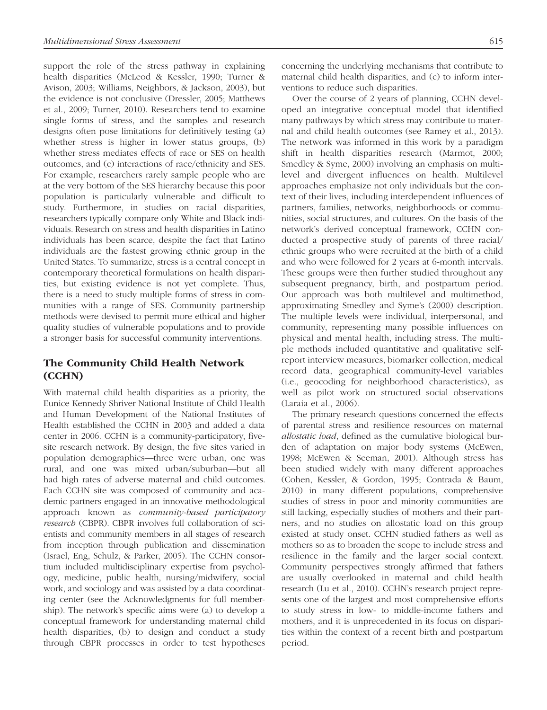support the role of the stress pathway in explaining health disparities (McLeod & Kessler, 1990; Turner & Avison, 2003; Williams, Neighbors, & Jackson, 2003), but the evidence is not conclusive (Dressler, 2005; Matthews et al., 2009; Turner, 2010). Researchers tend to examine single forms of stress, and the samples and research designs often pose limitations for definitively testing (a) whether stress is higher in lower status groups, (b) whether stress mediates effects of race or SES on health outcomes, and (c) interactions of race/ethnicity and SES. For example, researchers rarely sample people who are at the very bottom of the SES hierarchy because this poor population is particularly vulnerable and difficult to study. Furthermore, in studies on racial disparities, researchers typically compare only White and Black individuals. Research on stress and health disparities in Latino individuals has been scarce, despite the fact that Latino individuals are the fastest growing ethnic group in the United States. To summarize, stress is a central concept in contemporary theoretical formulations on health disparities, but existing evidence is not yet complete. Thus, there is a need to study multiple forms of stress in communities with a range of SES. Community partnership methods were devised to permit more ethical and higher quality studies of vulnerable populations and to provide a stronger basis for successful community interventions.

#### The Community Child Health Network (CCHN)

With maternal child health disparities as a priority, the Eunice Kennedy Shriver National Institute of Child Health and Human Development of the National Institutes of Health established the CCHN in 2003 and added a data center in 2006. CCHN is a community-participatory, fivesite research network. By design, the five sites varied in population demographics—three were urban, one was rural, and one was mixed urban/suburban—but all had high rates of adverse maternal and child outcomes. Each CCHN site was composed of community and academic partners engaged in an innovative methodological approach known as *community-based participatory research* (CBPR). CBPR involves full collaboration of scientists and community members in all stages of research from inception through publication and dissemination (Israel, Eng, Schulz, & Parker, 2005). The CCHN consortium included multidisciplinary expertise from psychology, medicine, public health, nursing/midwifery, social work, and sociology and was assisted by a data coordinating center (see the Acknowledgments for full membership). The network's specific aims were (a) to develop a conceptual framework for understanding maternal child health disparities, (b) to design and conduct a study through CBPR processes in order to test hypotheses concerning the underlying mechanisms that contribute to maternal child health disparities, and (c) to inform interventions to reduce such disparities.

Over the course of 2 years of planning, CCHN developed an integrative conceptual model that identified many pathways by which stress may contribute to maternal and child health outcomes (see Ramey et al., 2013). The network was informed in this work by a paradigm shift in health disparities research (Marmot, 2000; Smedley & Syme, 2000) involving an emphasis on multilevel and divergent influences on health. Multilevel approaches emphasize not only individuals but the context of their lives, including interdependent influences of partners, families, networks, neighborhoods or communities, social structures, and cultures. On the basis of the network's derived conceptual framework, CCHN conducted a prospective study of parents of three racial/ ethnic groups who were recruited at the birth of a child and who were followed for 2 years at 6-month intervals. These groups were then further studied throughout any subsequent pregnancy, birth, and postpartum period. Our approach was both multilevel and multimethod, approximating Smedley and Syme's (2000) description. The multiple levels were individual, interpersonal, and community, representing many possible influences on physical and mental health, including stress. The multiple methods included quantitative and qualitative selfreport interview measures, biomarker collection, medical record data, geographical community-level variables (i.e., geocoding for neighborhood characteristics), as well as pilot work on structured social observations (Laraia et al., 2006).

The primary research questions concerned the effects of parental stress and resilience resources on maternal *allostatic load*, defined as the cumulative biological burden of adaptation on major body systems (McEwen, 1998; McEwen & Seeman, 2001). Although stress has been studied widely with many different approaches (Cohen, Kessler, & Gordon, 1995; Contrada & Baum, 2010) in many different populations, comprehensive studies of stress in poor and minority communities are still lacking, especially studies of mothers and their partners, and no studies on allostatic load on this group existed at study onset. CCHN studied fathers as well as mothers so as to broaden the scope to include stress and resilience in the family and the larger social context. Community perspectives strongly affirmed that fathers are usually overlooked in maternal and child health research (Lu et al., 2010). CCHN's research project represents one of the largest and most comprehensive efforts to study stress in low- to middle-income fathers and mothers, and it is unprecedented in its focus on disparities within the context of a recent birth and postpartum period.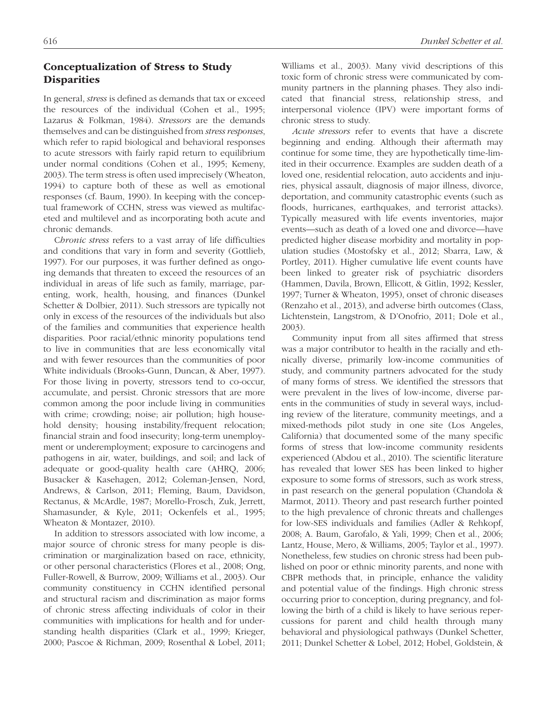## Conceptualization of Stress to Study **Disparities**

In general, *stress* is defined as demands that tax or exceed the resources of the individual (Cohen et al., 1995; Lazarus & Folkman, 1984). *Stressors* are the demands themselves and can be distinguished from *stress responses*, which refer to rapid biological and behavioral responses to acute stressors with fairly rapid return to equilibrium under normal conditions (Cohen et al., 1995; Kemeny, 2003). The term stress is often used imprecisely (Wheaton, 1994) to capture both of these as well as emotional responses (cf. Baum, 1990). In keeping with the conceptual framework of CCHN, stress was viewed as multifaceted and multilevel and as incorporating both acute and chronic demands.

C*hronic stress* refers to a vast array of life difficulties and conditions that vary in form and severity (Gottlieb, 1997). For our purposes, it was further defined as ongoing demands that threaten to exceed the resources of an individual in areas of life such as family, marriage, parenting, work, health, housing, and finances (Dunkel Schetter & Dolbier, 2011). Such stressors are typically not only in excess of the resources of the individuals but also of the families and communities that experience health disparities. Poor racial/ethnic minority populations tend to live in communities that are less economically vital and with fewer resources than the communities of poor White individuals (Brooks-Gunn, Duncan, & Aber, 1997). For those living in poverty, stressors tend to co-occur, accumulate, and persist. Chronic stressors that are more common among the poor include living in communities with crime; crowding; noise; air pollution; high household density; housing instability/frequent relocation; financial strain and food insecurity; long-term unemployment or underemployment; exposure to carcinogens and pathogens in air, water, buildings, and soil; and lack of adequate or good-quality health care (AHRQ, 2006; Busacker & Kasehagen, 2012; Coleman-Jensen, Nord, Andrews, & Carlson, 2011; Fleming, Baum, Davidson, Rectanus, & McArdle, 1987; Morello-Frosch, Zuk, Jerrett, Shamasunder, & Kyle, 2011; Ockenfels et al., 1995; Wheaton & Montazer, 2010).

In addition to stressors associated with low income, a major source of chronic stress for many people is discrimination or marginalization based on race, ethnicity, or other personal characteristics (Flores et al., 2008; Ong, Fuller-Rowell, & Burrow, 2009; Williams et al., 2003). Our community constituency in CCHN identified personal and structural racism and discrimination as major forms of chronic stress affecting individuals of color in their communities with implications for health and for understanding health disparities (Clark et al., 1999; Krieger, 2000; Pascoe & Richman, 2009; Rosenthal & Lobel, 2011;

Williams et al., 2003). Many vivid descriptions of this toxic form of chronic stress were communicated by community partners in the planning phases. They also indicated that financial stress, relationship stress, and interpersonal violence (IPV) were important forms of chronic stress to study.

*Acute stressors* refer to events that have a discrete beginning and ending. Although their aftermath may continue for some time, they are hypothetically time-limited in their occurrence. Examples are sudden death of a loved one, residential relocation, auto accidents and injuries, physical assault, diagnosis of major illness, divorce, deportation, and community catastrophic events (such as floods, hurricanes, earthquakes, and terrorist attacks). Typically measured with life events inventories, major events—such as death of a loved one and divorce—have predicted higher disease morbidity and mortality in population studies (Mostofsky et al., 2012; Sbarra, Law, & Portley, 2011). Higher cumulative life event counts have been linked to greater risk of psychiatric disorders (Hammen, Davila, Brown, Ellicott, & Gitlin, 1992; Kessler, 1997; Turner & Wheaton, 1995), onset of chronic diseases (Renzaho et al., 2013), and adverse birth outcomes (Class, Lichtenstein, Langstrom, & D'Onofrio, 2011; Dole et al., 2003).

Community input from all sites affirmed that stress was a major contributor to health in the racially and ethnically diverse, primarily low-income communities of study, and community partners advocated for the study of many forms of stress. We identified the stressors that were prevalent in the lives of low-income, diverse parents in the communities of study in several ways, including review of the literature, community meetings, and a mixed-methods pilot study in one site (Los Angeles, California) that documented some of the many specific forms of stress that low-income community residents experienced (Abdou et al., 2010). The scientific literature has revealed that lower SES has been linked to higher exposure to some forms of stressors, such as work stress, in past research on the general population (Chandola & Marmot, 2011). Theory and past research further pointed to the high prevalence of chronic threats and challenges for low-SES individuals and families (Adler & Rehkopf, 2008; A. Baum, Garofalo, & Yali, 1999; Chen et al., 2006; Lantz, House, Mero, & Williams, 2005; Taylor et al., 1997). Nonetheless, few studies on chronic stress had been published on poor or ethnic minority parents, and none with CBPR methods that, in principle, enhance the validity and potential value of the findings. High chronic stress occurring prior to conception, during pregnancy, and following the birth of a child is likely to have serious repercussions for parent and child health through many behavioral and physiological pathways (Dunkel Schetter, 2011; Dunkel Schetter & Lobel, 2012; Hobel, Goldstein, &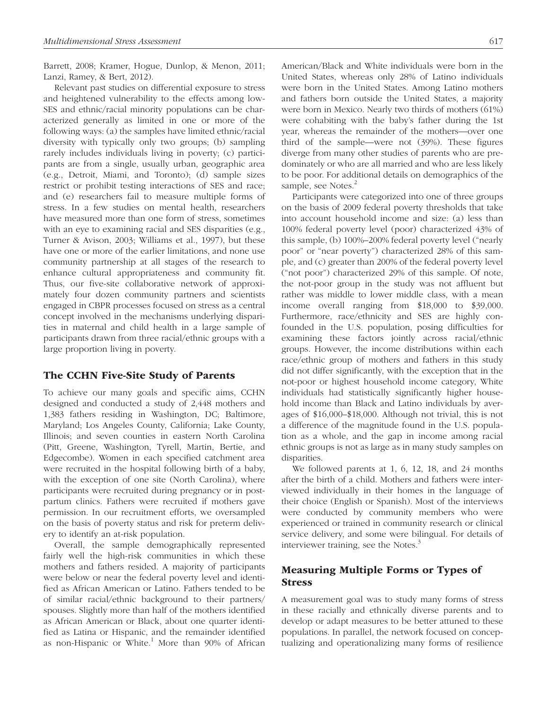Barrett, 2008; Kramer, Hogue, Dunlop, & Menon, 2011; Lanzi, Ramey, & Bert, 2012).

Relevant past studies on differential exposure to stress and heightened vulnerability to the effects among low-SES and ethnic/racial minority populations can be characterized generally as limited in one or more of the following ways: (a) the samples have limited ethnic/racial diversity with typically only two groups; (b) sampling rarely includes individuals living in poverty; (c) participants are from a single, usually urban, geographic area (e.g., Detroit, Miami, and Toronto); (d) sample sizes restrict or prohibit testing interactions of SES and race; and (e) researchers fail to measure multiple forms of stress. In a few studies on mental health, researchers have measured more than one form of stress, sometimes with an eye to examining racial and SES disparities (e.g., Turner & Avison, 2003; Williams et al., 1997), but these have one or more of the earlier limitations, and none use community partnership at all stages of the research to enhance cultural appropriateness and community fit. Thus, our five-site collaborative network of approximately four dozen community partners and scientists engaged in CBPR processes focused on stress as a central concept involved in the mechanisms underlying disparities in maternal and child health in a large sample of participants drawn from three racial/ethnic groups with a large proportion living in poverty.

#### The CCHN Five-Site Study of Parents

To achieve our many goals and specific aims, CCHN designed and conducted a study of 2,448 mothers and 1,383 fathers residing in Washington, DC; Baltimore, Maryland; Los Angeles County, California; Lake County, Illinois; and seven counties in eastern North Carolina (Pitt, Greene, Washington, Tyrell, Martin, Bertie, and Edgecombe). Women in each specified catchment area were recruited in the hospital following birth of a baby, with the exception of one site (North Carolina), where participants were recruited during pregnancy or in postpartum clinics. Fathers were recruited if mothers gave permission. In our recruitment efforts, we oversampled on the basis of poverty status and risk for preterm delivery to identify an at-risk population.

Overall, the sample demographically represented fairly well the high-risk communities in which these mothers and fathers resided. A majority of participants were below or near the federal poverty level and identified as African American or Latino. Fathers tended to be of similar racial/ethnic background to their partners/ spouses. Slightly more than half of the mothers identified as African American or Black, about one quarter identified as Latina or Hispanic, and the remainder identified as non-Hispanic or White. $^1$  More than 90% of African American/Black and White individuals were born in the United States, whereas only 28% of Latino individuals were born in the United States. Among Latino mothers and fathers born outside the United States, a majority were born in Mexico. Nearly two thirds of mothers (61%) were cohabiting with the baby's father during the 1st year, whereas the remainder of the mothers—over one third of the sample—were not (39%). These figures diverge from many other studies of parents who are predominately or who are all married and who are less likely to be poor. For additional details on demographics of the sample, see Notes.<sup>2</sup>

Participants were categorized into one of three groups on the basis of 2009 federal poverty thresholds that take into account household income and size: (a) less than 100% federal poverty level (poor) characterized 43% of this sample, (b) 100%–200% federal poverty level ("nearly poor" or "near poverty") characterized 28% of this sample, and (c) greater than 200% of the federal poverty level ("not poor") characterized 29% of this sample. Of note, the not-poor group in the study was not affluent but rather was middle to lower middle class, with a mean income overall ranging from \$18,000 to \$39,000. Furthermore, race/ethnicity and SES are highly confounded in the U.S. population, posing difficulties for examining these factors jointly across racial/ethnic groups. However, the income distributions within each race/ethnic group of mothers and fathers in this study did not differ significantly, with the exception that in the not-poor or highest household income category, White individuals had statistically significantly higher household income than Black and Latino individuals by averages of \$16,000–\$18,000. Although not trivial, this is not a difference of the magnitude found in the U.S. population as a whole, and the gap in income among racial ethnic groups is not as large as in many study samples on disparities.

We followed parents at 1, 6, 12, 18, and 24 months after the birth of a child. Mothers and fathers were interviewed individually in their homes in the language of their choice (English or Spanish). Most of the interviews were conducted by community members who were experienced or trained in community research or clinical service delivery, and some were bilingual. For details of interviewer training, see the Notes. $3$ 

## Measuring Multiple Forms or Types of Stress

A measurement goal was to study many forms of stress in these racially and ethnically diverse parents and to develop or adapt measures to be better attuned to these populations. In parallel, the network focused on conceptualizing and operationalizing many forms of resilience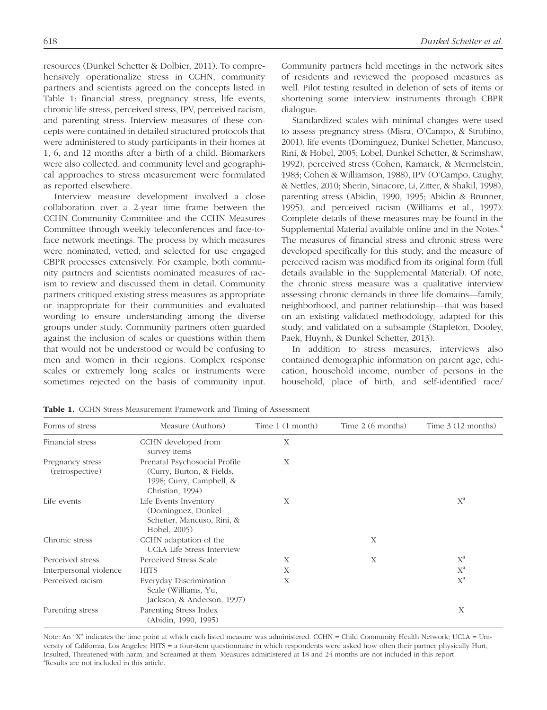resources (Dunkel Schetter & Dolbier, 2011). To comprehensively operationalize stress in CCHN, community partners and scientists agreed on the concepts listed in Table 1: financial stress, pregnancy stress, life events, chronic life stress, perceived stress, IPV, perceived racism, and parenting stress. Interview measures of these concepts were contained in detailed structured protocols that were administered to study participants in their homes at 1, 6, and 12 months after a birth of a child. Biomarkers were also collected, and community level and geographical approaches to stress measurement were formulated as reported elsewhere.

Interview measure development involved a close collaboration over a 2-year time frame between the CCHN Community Committee and the CCHN Measures Committee through weekly teleconferences and face-toface network meetings. The process by which measures were nominated, vetted, and selected for use engaged CBPR processes extensively. For example, both community partners and scientists nominated measures of racism to review and discussed them in detail. Community partners critiqued existing stress measures as appropriate or inappropriate for their communities and evaluated wording to ensure understanding among the diverse groups under study. Community partners often guarded against the inclusion of scales or questions within them that would not be understood or would be confusing to men and women in their regions. Complex response scales or extremely long scales or instruments were sometimes rejected on the basis of community input. Community partners held meetings in the network sites of residents and reviewed the proposed measures as well. Pilot testing resulted in deletion of sets of items or shortening some interview instruments through CBPR dialogue.

Standardized scales with minimal changes were used to assess pregnancy stress (Misra, O'Campo, & Strobino, 2001), life events (Dominguez, Dunkel Schetter, Mancuso, Rini, & Hobel, 2005; Lobel, Dunkel Schetter, & Scrimshaw, 1992), perceived stress (Cohen, Kamarck, & Mermelstein, 1983; Cohen & Williamson, 1988), IPV (O'Campo, Caughy, & Nettles, 2010; Sherin, Sinacore, Li, Zitter, & Shakil, 1998), parenting stress (Abidin, 1990, 1995; Abidin & Brunner, 1995), and perceived racism (Williams et al., 1997). Complete details of these measures may be found in the Supplemental Material available online and in the Notes.<sup>4</sup> The measures of financial stress and chronic stress were developed specifically for this study, and the measure of perceived racism was modified from its original form (full details available in the Supplemental Material). Of note, the chronic stress measure was a qualitative interview assessing chronic demands in three life domains—family, neighborhood, and partner relationship—that was based on an existing validated methodology, adapted for this study, and validated on a subsample (Stapleton, Dooley, Paek, Huynh, & Dunkel Schetter, 2013).

In addition to stress measures, interviews also contained demographic information on parent age, education, household income, number of persons in the household, place of birth, and self-identified race/

| Forms of stress                     | Measure (Authors)                                                                                          | Time $1(1$ month) | Time 2 (6 months) | Time $3(12$ months) |
|-------------------------------------|------------------------------------------------------------------------------------------------------------|-------------------|-------------------|---------------------|
| Financial stress                    | CCHN developed from<br>survey items                                                                        | X                 |                   |                     |
| Pregnancy stress<br>(retrospective) | Prenatal Psychosocial Profile<br>(Curry, Burton, & Fields,<br>1998; Curry, Campbell, &<br>Christian, 1994) | X                 |                   |                     |
| Life events                         | Life Events Inventory<br>(Dominguez, Dunkel<br>Schetter, Mancuso, Rini, &<br>Hobel, 2005)                  | X                 |                   | $X^a$               |
| Chronic stress                      | CCHN adaptation of the<br><b>UCLA Life Stress Interview</b>                                                |                   | Χ                 |                     |
| Perceived stress                    | Perceived Stress Scale                                                                                     | X                 | X                 | $X^a$               |
| Interpersonal violence              | <b>HITS</b>                                                                                                | X                 |                   | $X^a$               |
| Perceived racism                    | Everyday Discrimination<br>Scale (Williams, Yu,<br>Jackson, & Anderson, 1997)                              | $\mathbf{X}$      |                   | $X^a$               |
| Parenting stress                    | Parenting Stress Index<br>(Abidin, 1990, 1995)                                                             |                   |                   | Χ                   |

Table 1. CCHN Stress Measurement Framework and Timing of Assessment

Note: An "X" indicates the time point at which each listed measure was administered. CCHN = Child Community Health Network; UCLA = University of California, Los Angeles; HITS = a four-item questionnaire in which respondents were asked how often their partner physically Hurt, Insulted, Threatened with harm, and Screamed at them. Measures administered at 18 and 24 months are not included in this report. <sup>a</sup>Results are not included in this article.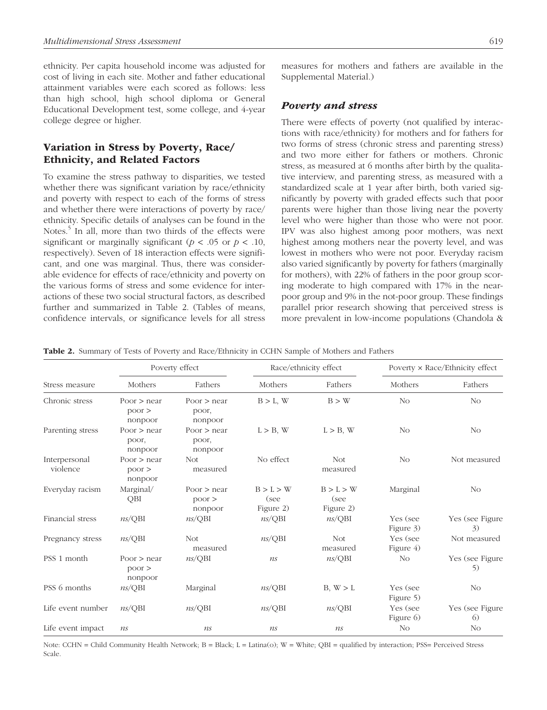ethnicity. Per capita household income was adjusted for cost of living in each site. Mother and father educational attainment variables were each scored as follows: less than high school, high school diploma or General Educational Development test, some college, and 4-year college degree or higher.

## Variation in Stress by Poverty, Race/ Ethnicity, and Related Factors

To examine the stress pathway to disparities, we tested whether there was significant variation by race/ethnicity and poverty with respect to each of the forms of stress and whether there were interactions of poverty by race/ ethnicity. Specific details of analyses can be found in the Notes.<sup>5</sup> In all, more than two thirds of the effects were significant or marginally significant ( $p < .05$  or  $p < .10$ , respectively). Seven of 18 interaction effects were significant, and one was marginal. Thus, there was considerable evidence for effects of race/ethnicity and poverty on the various forms of stress and some evidence for interactions of these two social structural factors, as described further and summarized in Table 2. (Tables of means, confidence intervals, or significance levels for all stress

measures for mothers and fathers are available in the Supplemental Material.)

#### *Poverty and stress*

There were effects of poverty (not qualified by interactions with race/ethnicity) for mothers and for fathers for two forms of stress (chronic stress and parenting stress) and two more either for fathers or mothers. Chronic stress, as measured at 6 months after birth by the qualitative interview, and parenting stress, as measured with a standardized scale at 1 year after birth, both varied significantly by poverty with graded effects such that poor parents were higher than those living near the poverty level who were higher than those who were not poor. IPV was also highest among poor mothers, was next highest among mothers near the poverty level, and was lowest in mothers who were not poor. Everyday racism also varied significantly by poverty for fathers (marginally for mothers), with 22% of fathers in the poor group scoring moderate to high compared with 17% in the nearpoor group and 9% in the not-poor group. These findings parallel prior research showing that perceived stress is more prevalent in low-income populations (Chandola &

Table 2. Summary of Tests of Poverty and Race/Ethnicity in CCHN Sample of Mothers and Fathers

| Stress measure            | Poverty effect                                 |                                                | Race/ethnicity effect          |                                | Poverty × Race/Ethnicity effect |                            |
|---------------------------|------------------------------------------------|------------------------------------------------|--------------------------------|--------------------------------|---------------------------------|----------------------------|
|                           | Mothers                                        | Fathers                                        | Mothers                        | Fathers                        | Mothers                         | Fathers                    |
| Chronic stress            | Poor $>$ near<br>$poor$ ><br>nonpoor           | P <sub>oor</sub> > near<br>poor,<br>nonpoor    | $B > L$ , W                    | B > W                          | No                              | No                         |
| Parenting stress          | Poor $>$ near<br>poor,<br>nonpoor              | P <sub>oor</sub> > near<br>poor,<br>nonpoor    | $L > B$ , W                    | $L > B$ , W                    | No                              | No                         |
| Interpersonal<br>violence | P <sub>oor</sub> > near<br>$poor$ ><br>nonpoor | <b>Not</b><br>measured                         | No effect                      | Not.<br>measured               | No                              | Not measured               |
| Everyday racism           | Marginal/<br>QBI                               | P <sub>oor</sub> > near<br>$poor$ ><br>nonpoor | B > L > W<br>(see<br>Figure 2) | B > L > W<br>(see<br>Figure 2) | Marginal                        | No                         |
| Financial stress          | ns/QBI                                         | ns/QBI                                         | n s/QBI                        | ns/QBI                         | Yes (see<br>Figure 3)           | Yes (see Figure<br>3)      |
| Pregnancy stress          | ns/QBI                                         | <b>Not</b><br>measured                         | ns/QBI                         | <b>Not</b><br>measured         | Yes (see<br>Figure 4)           | Not measured               |
| PSS 1 month               | P <sub>oor</sub> > near<br>$poor$ ><br>nonpoor | ns/QBI                                         | ns                             | ns/QBI                         | N <sub>O</sub>                  | Yes (see Figure<br>5)      |
| PSS 6 months              | ns/QBI                                         | Marginal                                       | ns/QBI                         | B, W > L                       | Yes (see<br>Figure 5)           | No                         |
| Life event number         | ns/QBI                                         | ns/QBI                                         | ns/QBI                         | ns/QBI                         | Yes (see<br>Figure $6$ )        | Yes (see Figure<br>$\circ$ |
| Life event impact         | ns                                             | ns                                             | ns                             | ns                             | N <sub>O</sub>                  | N <sub>O</sub>             |

Note: CCHN = Child Community Health Network; B = Black; L = Latina(o); W = White; QBI = qualified by interaction; PSS= Perceived Stress Scale.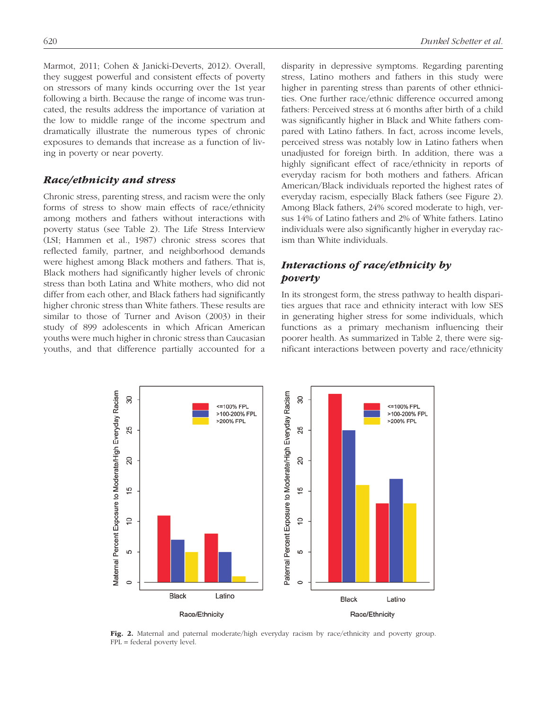Marmot, 2011; Cohen & Janicki-Deverts, 2012). Overall, they suggest powerful and consistent effects of poverty on stressors of many kinds occurring over the 1st year following a birth. Because the range of income was truncated, the results address the importance of variation at the low to middle range of the income spectrum and dramatically illustrate the numerous types of chronic exposures to demands that increase as a function of living in poverty or near poverty.

#### *Race/ethnicity and stress*

Chronic stress, parenting stress, and racism were the only forms of stress to show main effects of race/ethnicity among mothers and fathers without interactions with poverty status (see Table 2). The Life Stress Interview (LSI; Hammen et al., 1987) chronic stress scores that reflected family, partner, and neighborhood demands were highest among Black mothers and fathers. That is, Black mothers had significantly higher levels of chronic stress than both Latina and White mothers, who did not differ from each other, and Black fathers had significantly higher chronic stress than White fathers. These results are similar to those of Turner and Avison (2003) in their study of 899 adolescents in which African American youths were much higher in chronic stress than Caucasian youths, and that difference partially accounted for a disparity in depressive symptoms. Regarding parenting stress, Latino mothers and fathers in this study were higher in parenting stress than parents of other ethnicities. One further race/ethnic difference occurred among fathers: Perceived stress at 6 months after birth of a child was significantly higher in Black and White fathers compared with Latino fathers. In fact, across income levels, perceived stress was notably low in Latino fathers when unadjusted for foreign birth. In addition, there was a highly significant effect of race/ethnicity in reports of everyday racism for both mothers and fathers. African American/Black individuals reported the highest rates of everyday racism, especially Black fathers (see Figure 2). Among Black fathers, 24% scored moderate to high, versus 14% of Latino fathers and 2% of White fathers. Latino individuals were also significantly higher in everyday racism than White individuals.

## *Interactions of race/ethnicity by poverty*

In its strongest form, the stress pathway to health disparities argues that race and ethnicity interact with low SES in generating higher stress for some individuals, which functions as a primary mechanism influencing their poorer health. As summarized in Table 2, there were significant interactions between poverty and race/ethnicity



Fig. 2. Maternal and paternal moderate/high everyday racism by race/ethnicity and poverty group. FPL = federal poverty level.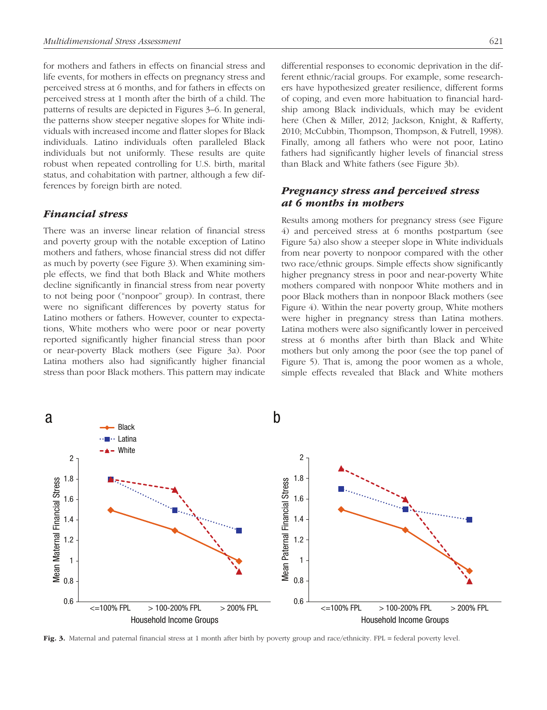for mothers and fathers in effects on financial stress and life events, for mothers in effects on pregnancy stress and perceived stress at 6 months, and for fathers in effects on perceived stress at 1 month after the birth of a child. The patterns of results are depicted in Figures 3–6. In general, the patterns show steeper negative slopes for White individuals with increased income and flatter slopes for Black individuals. Latino individuals often paralleled Black individuals but not uniformly. These results are quite robust when repeated controlling for U.S. birth, marital status, and cohabitation with partner, although a few differences by foreign birth are noted.

#### *Financial stress*

There was an inverse linear relation of financial stress and poverty group with the notable exception of Latino mothers and fathers, whose financial stress did not differ as much by poverty (see Figure 3). When examining simple effects, we find that both Black and White mothers decline significantly in financial stress from near poverty to not being poor ("nonpoor" group). In contrast, there were no significant differences by poverty status for Latino mothers or fathers. However, counter to expectations, White mothers who were poor or near poverty reported significantly higher financial stress than poor or near-poverty Black mothers (see Figure 3a). Poor Latina mothers also had significantly higher financial stress than poor Black mothers. This pattern may indicate differential responses to economic deprivation in the different ethnic/racial groups. For example, some researchers have hypothesized greater resilience, different forms of coping, and even more habituation to financial hardship among Black individuals, which may be evident here (Chen & Miller, 2012; Jackson, Knight, & Rafferty, 2010; McCubbin, Thompson, Thompson, & Futrell, 1998). Finally, among all fathers who were not poor, Latino fathers had significantly higher levels of financial stress than Black and White fathers (see Figure 3b).

## *Pregnancy stress and perceived stress at 6 months in mothers*

Results among mothers for pregnancy stress (see Figure 4) and perceived stress at 6 months postpartum (see Figure 5a) also show a steeper slope in White individuals from near poverty to nonpoor compared with the other two race/ethnic groups. Simple effects show significantly higher pregnancy stress in poor and near-poverty White mothers compared with nonpoor White mothers and in poor Black mothers than in nonpoor Black mothers (see Figure 4). Within the near poverty group, White mothers were higher in pregnancy stress than Latina mothers. Latina mothers were also significantly lower in perceived stress at 6 months after birth than Black and White mothers but only among the poor (see the top panel of Figure 5). That is, among the poor women as a whole, simple effects revealed that Black and White mothers



Fig. 3. Maternal and paternal financial stress at 1 month after birth by poverty group and race/ethnicity. FPL = federal poverty level.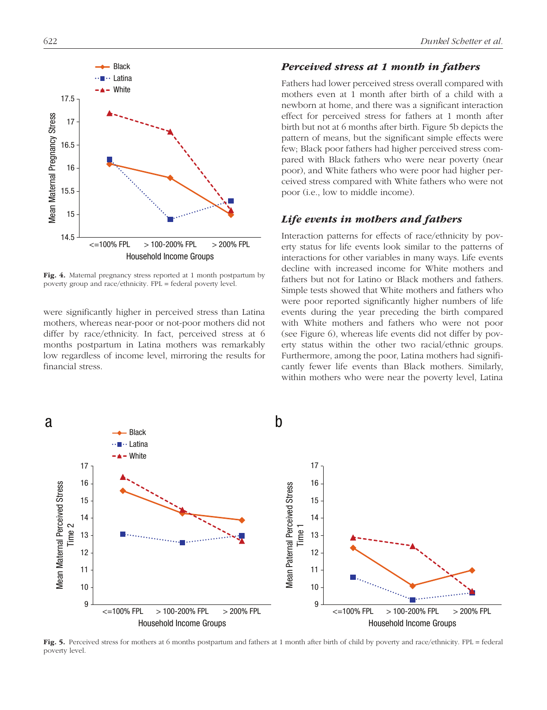

Fig. 4. Maternal pregnancy stress reported at 1 month postpartum by poverty group and race/ethnicity. FPL = federal poverty level.

were significantly higher in perceived stress than Latina mothers, whereas near-poor or not-poor mothers did not differ by race/ethnicity. In fact, perceived stress at 6 months postpartum in Latina mothers was remarkably low regardless of income level, mirroring the results for financial stress.

# *Perceived stress at 1 month in fathers*

Fathers had lower perceived stress overall compared with mothers even at 1 month after birth of a child with a newborn at home, and there was a significant interaction effect for perceived stress for fathers at 1 month after birth but not at 6 months after birth. Figure 5b depicts the pattern of means, but the significant simple effects were few; Black poor fathers had higher perceived stress compared with Black fathers who were near poverty (near poor), and White fathers who were poor had higher perceived stress compared with White fathers who were not poor (i.e., low to middle income).

#### *Life events in mothers and fathers*

Interaction patterns for effects of race/ethnicity by poverty status for life events look similar to the patterns of interactions for other variables in many ways. Life events decline with increased income for White mothers and fathers but not for Latino or Black mothers and fathers. Simple tests showed that White mothers and fathers who were poor reported significantly higher numbers of life events during the year preceding the birth compared with White mothers and fathers who were not poor (see Figure 6), whereas life events did not differ by poverty status within the other two racial/ethnic groups. Furthermore, among the poor, Latina mothers had significantly fewer life events than Black mothers. Similarly, within mothers who were near the poverty level, Latina



Fig. 5. Perceived stress for mothers at 6 months postpartum and fathers at 1 month after birth of child by poverty and race/ethnicity. FPL = federal poverty level.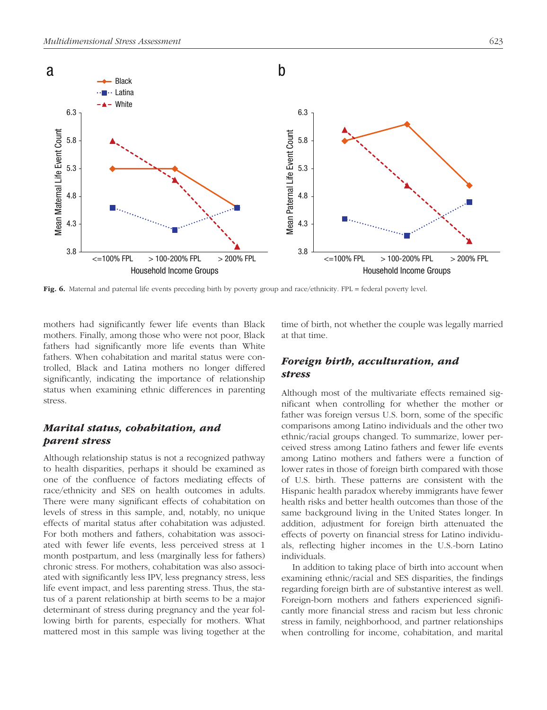

Fig. 6. Maternal and paternal life events preceding birth by poverty group and race/ethnicity. FPL = federal poverty level.

mothers had significantly fewer life events than Black mothers. Finally, among those who were not poor, Black fathers had significantly more life events than White fathers. When cohabitation and marital status were controlled, Black and Latina mothers no longer differed significantly, indicating the importance of relationship status when examining ethnic differences in parenting stress.

## *Marital status, cohabitation, and parent stress*

Although relationship status is not a recognized pathway to health disparities, perhaps it should be examined as one of the confluence of factors mediating effects of race/ethnicity and SES on health outcomes in adults. There were many significant effects of cohabitation on levels of stress in this sample, and, notably, no unique effects of marital status after cohabitation was adjusted. For both mothers and fathers, cohabitation was associated with fewer life events, less perceived stress at 1 month postpartum, and less (marginally less for fathers) chronic stress. For mothers, cohabitation was also associated with significantly less IPV, less pregnancy stress, less life event impact, and less parenting stress. Thus, the status of a parent relationship at birth seems to be a major determinant of stress during pregnancy and the year following birth for parents, especially for mothers. What mattered most in this sample was living together at the time of birth, not whether the couple was legally married at that time.

## *Foreign birth, acculturation, and stress*

Although most of the multivariate effects remained significant when controlling for whether the mother or father was foreign versus U.S. born, some of the specific comparisons among Latino individuals and the other two ethnic/racial groups changed. To summarize, lower perceived stress among Latino fathers and fewer life events among Latino mothers and fathers were a function of lower rates in those of foreign birth compared with those of U.S. birth. These patterns are consistent with the Hispanic health paradox whereby immigrants have fewer health risks and better health outcomes than those of the same background living in the United States longer. In addition, adjustment for foreign birth attenuated the effects of poverty on financial stress for Latino individuals, reflecting higher incomes in the U.S.-born Latino individuals.

In addition to taking place of birth into account when examining ethnic/racial and SES disparities, the findings regarding foreign birth are of substantive interest as well. Foreign-born mothers and fathers experienced significantly more financial stress and racism but less chronic stress in family, neighborhood, and partner relationships when controlling for income, cohabitation, and marital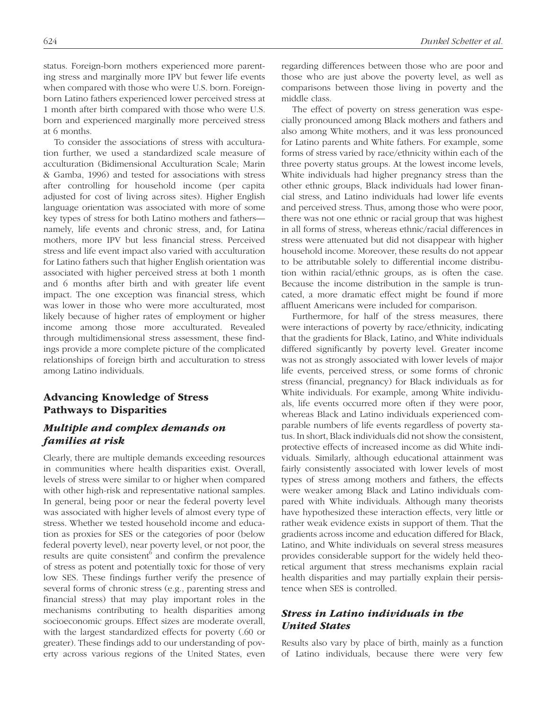status. Foreign-born mothers experienced more parenting stress and marginally more IPV but fewer life events when compared with those who were U.S. born. Foreignborn Latino fathers experienced lower perceived stress at 1 month after birth compared with those who were U.S. born and experienced marginally more perceived stress at 6 months.

To consider the associations of stress with acculturation further, we used a standardized scale measure of acculturation (Bidimensional Acculturation Scale; Marin & Gamba, 1996) and tested for associations with stress after controlling for household income (per capita adjusted for cost of living across sites). Higher English language orientation was associated with more of some key types of stress for both Latino mothers and fathers namely, life events and chronic stress, and, for Latina mothers, more IPV but less financial stress. Perceived stress and life event impact also varied with acculturation for Latino fathers such that higher English orientation was associated with higher perceived stress at both 1 month and 6 months after birth and with greater life event impact. The one exception was financial stress, which was lower in those who were more acculturated, most likely because of higher rates of employment or higher income among those more acculturated. Revealed through multidimensional stress assessment, these findings provide a more complete picture of the complicated relationships of foreign birth and acculturation to stress among Latino individuals.

## Advancing Knowledge of Stress Pathways to Disparities

#### *Multiple and complex demands on families at risk*

Clearly, there are multiple demands exceeding resources in communities where health disparities exist. Overall, levels of stress were similar to or higher when compared with other high-risk and representative national samples. In general, being poor or near the federal poverty level was associated with higher levels of almost every type of stress. Whether we tested household income and education as proxies for SES or the categories of poor (below federal poverty level), near poverty level, or not poor, the results are quite consistent $6$  and confirm the prevalence of stress as potent and potentially toxic for those of very low SES. These findings further verify the presence of several forms of chronic stress (e.g., parenting stress and financial stress) that may play important roles in the mechanisms contributing to health disparities among socioeconomic groups. Effect sizes are moderate overall, with the largest standardized effects for poverty (.60 or greater). These findings add to our understanding of poverty across various regions of the United States, even

regarding differences between those who are poor and those who are just above the poverty level, as well as comparisons between those living in poverty and the middle class.

The effect of poverty on stress generation was especially pronounced among Black mothers and fathers and also among White mothers, and it was less pronounced for Latino parents and White fathers. For example, some forms of stress varied by race/ethnicity within each of the three poverty status groups. At the lowest income levels, White individuals had higher pregnancy stress than the other ethnic groups, Black individuals had lower financial stress, and Latino individuals had lower life events and perceived stress. Thus, among those who were poor, there was not one ethnic or racial group that was highest in all forms of stress, whereas ethnic/racial differences in stress were attenuated but did not disappear with higher household income. Moreover, these results do not appear to be attributable solely to differential income distribution within racial/ethnic groups, as is often the case. Because the income distribution in the sample is truncated, a more dramatic effect might be found if more affluent Americans were included for comparison.

Furthermore, for half of the stress measures, there were interactions of poverty by race/ethnicity, indicating that the gradients for Black, Latino, and White individuals differed significantly by poverty level. Greater income was not as strongly associated with lower levels of major life events, perceived stress, or some forms of chronic stress (financial, pregnancy) for Black individuals as for White individuals. For example, among White individuals, life events occurred more often if they were poor, whereas Black and Latino individuals experienced comparable numbers of life events regardless of poverty status. In short, Black individuals did not show the consistent, protective effects of increased income as did White individuals. Similarly, although educational attainment was fairly consistently associated with lower levels of most types of stress among mothers and fathers, the effects were weaker among Black and Latino individuals compared with White individuals. Although many theorists have hypothesized these interaction effects, very little or rather weak evidence exists in support of them. That the gradients across income and education differed for Black, Latino, and White individuals on several stress measures provides considerable support for the widely held theoretical argument that stress mechanisms explain racial health disparities and may partially explain their persistence when SES is controlled.

## *Stress in Latino individuals in the United States*

Results also vary by place of birth, mainly as a function of Latino individuals, because there were very few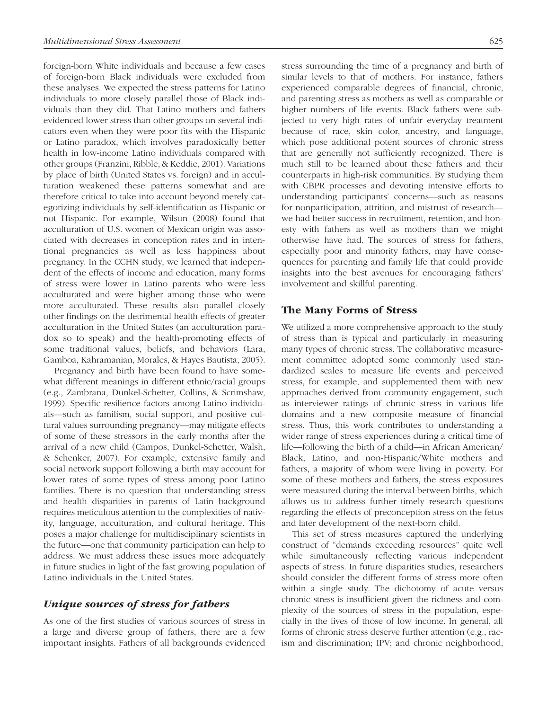foreign-born White individuals and because a few cases of foreign-born Black individuals were excluded from these analyses. We expected the stress patterns for Latino individuals to more closely parallel those of Black individuals than they did. That Latino mothers and fathers evidenced lower stress than other groups on several indicators even when they were poor fits with the Hispanic or Latino paradox, which involves paradoxically better health in low-income Latino individuals compared with other groups (Franzini, Ribble, & Keddie, 2001). Variations by place of birth (United States vs. foreign) and in acculturation weakened these patterns somewhat and are therefore critical to take into account beyond merely categorizing individuals by self-identification as Hispanic or not Hispanic. For example, Wilson (2008) found that acculturation of U.S. women of Mexican origin was associated with decreases in conception rates and in intentional pregnancies as well as less happiness about pregnancy. In the CCHN study, we learned that independent of the effects of income and education, many forms of stress were lower in Latino parents who were less acculturated and were higher among those who were more acculturated. These results also parallel closely other findings on the detrimental health effects of greater acculturation in the United States (an acculturation paradox so to speak) and the health-promoting effects of some traditional values, beliefs, and behaviors (Lara, Gamboa, Kahramanian, Morales, & Hayes Bautista, 2005).

Pregnancy and birth have been found to have somewhat different meanings in different ethnic/racial groups (e.g., Zambrana, Dunkel-Schetter, Collins, & Scrimshaw, 1999). Specific resilience factors among Latino individuals—such as familism, social support, and positive cultural values surrounding pregnancy—may mitigate effects of some of these stressors in the early months after the arrival of a new child (Campos, Dunkel-Schetter, Walsh, & Schenker, 2007). For example, extensive family and social network support following a birth may account for lower rates of some types of stress among poor Latino families. There is no question that understanding stress and health disparities in parents of Latin background requires meticulous attention to the complexities of nativity, language, acculturation, and cultural heritage. This poses a major challenge for multidisciplinary scientists in the future—one that community participation can help to address. We must address these issues more adequately in future studies in light of the fast growing population of Latino individuals in the United States.

#### *Unique sources of stress for fathers*

As one of the first studies of various sources of stress in a large and diverse group of fathers, there are a few important insights. Fathers of all backgrounds evidenced stress surrounding the time of a pregnancy and birth of similar levels to that of mothers. For instance, fathers experienced comparable degrees of financial, chronic, and parenting stress as mothers as well as comparable or higher numbers of life events. Black fathers were subjected to very high rates of unfair everyday treatment because of race, skin color, ancestry, and language, which pose additional potent sources of chronic stress that are generally not sufficiently recognized. There is much still to be learned about these fathers and their counterparts in high-risk communities. By studying them with CBPR processes and devoting intensive efforts to understanding participants' concerns—such as reasons for nonparticipation, attrition, and mistrust of research we had better success in recruitment, retention, and honesty with fathers as well as mothers than we might otherwise have had. The sources of stress for fathers, especially poor and minority fathers, may have consequences for parenting and family life that could provide insights into the best avenues for encouraging fathers' involvement and skillful parenting.

#### The Many Forms of Stress

We utilized a more comprehensive approach to the study of stress than is typical and particularly in measuring many types of chronic stress. The collaborative measurement committee adopted some commonly used standardized scales to measure life events and perceived stress, for example, and supplemented them with new approaches derived from community engagement, such as interviewer ratings of chronic stress in various life domains and a new composite measure of financial stress. Thus, this work contributes to understanding a wider range of stress experiences during a critical time of life—following the birth of a child—in African American/ Black, Latino, and non-Hispanic/White mothers and fathers, a majority of whom were living in poverty. For some of these mothers and fathers, the stress exposures were measured during the interval between births, which allows us to address further timely research questions regarding the effects of preconception stress on the fetus and later development of the next-born child.

This set of stress measures captured the underlying construct of "demands exceeding resources" quite well while simultaneously reflecting various independent aspects of stress. In future disparities studies, researchers should consider the different forms of stress more often within a single study. The dichotomy of acute versus chronic stress is insufficient given the richness and complexity of the sources of stress in the population, especially in the lives of those of low income. In general, all forms of chronic stress deserve further attention (e.g., racism and discrimination; IPV; and chronic neighborhood,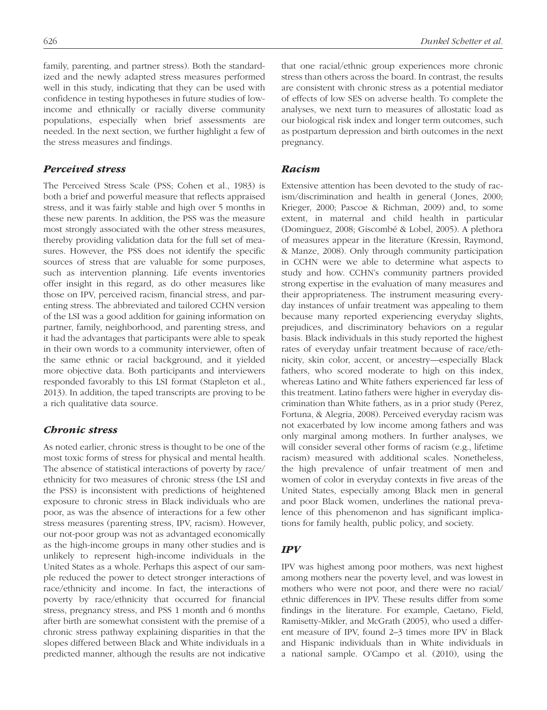family, parenting, and partner stress). Both the standardized and the newly adapted stress measures performed well in this study, indicating that they can be used with confidence in testing hypotheses in future studies of lowincome and ethnically or racially diverse community populations, especially when brief assessments are needed. In the next section, we further highlight a few of the stress measures and findings.

#### *Perceived stress*

The Perceived Stress Scale (PSS; Cohen et al., 1983) is both a brief and powerful measure that reflects appraised stress, and it was fairly stable and high over 5 months in these new parents. In addition, the PSS was the measure most strongly associated with the other stress measures, thereby providing validation data for the full set of measures. However, the PSS does not identify the specific sources of stress that are valuable for some purposes, such as intervention planning. Life events inventories offer insight in this regard, as do other measures like those on IPV, perceived racism, financial stress, and parenting stress. The abbreviated and tailored CCHN version of the LSI was a good addition for gaining information on partner, family, neighborhood, and parenting stress, and it had the advantages that participants were able to speak in their own words to a community interviewer, often of the same ethnic or racial background, and it yielded more objective data. Both participants and interviewers responded favorably to this LSI format (Stapleton et al., 2013). In addition, the taped transcripts are proving to be a rich qualitative data source.

#### *Chronic stress*

As noted earlier, chronic stress is thought to be one of the most toxic forms of stress for physical and mental health. The absence of statistical interactions of poverty by race/ ethnicity for two measures of chronic stress (the LSI and the PSS) is inconsistent with predictions of heightened exposure to chronic stress in Black individuals who are poor, as was the absence of interactions for a few other stress measures (parenting stress, IPV, racism). However, our not-poor group was not as advantaged economically as the high-income groups in many other studies and is unlikely to represent high-income individuals in the United States as a whole. Perhaps this aspect of our sample reduced the power to detect stronger interactions of race/ethnicity and income. In fact, the interactions of poverty by race/ethnicity that occurred for financial stress, pregnancy stress, and PSS 1 month and 6 months after birth are somewhat consistent with the premise of a chronic stress pathway explaining disparities in that the slopes differed between Black and White individuals in a predicted manner, although the results are not indicative that one racial/ethnic group experiences more chronic stress than others across the board. In contrast, the results are consistent with chronic stress as a potential mediator of effects of low SES on adverse health. To complete the analyses, we next turn to measures of allostatic load as our biological risk index and longer term outcomes, such as postpartum depression and birth outcomes in the next pregnancy.

#### *Racism*

Extensive attention has been devoted to the study of racism/discrimination and health in general (Jones, 2000; Krieger, 2000; Pascoe & Richman, 2009) and, to some extent, in maternal and child health in particular (Dominguez, 2008; Giscombé & Lobel, 2005). A plethora of measures appear in the literature (Kressin, Raymond, & Manze, 2008). Only through community participation in CCHN were we able to determine what aspects to study and how. CCHN's community partners provided strong expertise in the evaluation of many measures and their appropriateness. The instrument measuring everyday instances of unfair treatment was appealing to them because many reported experiencing everyday slights, prejudices, and discriminatory behaviors on a regular basis. Black individuals in this study reported the highest rates of everyday unfair treatment because of race/ethnicity, skin color, accent, or ancestry—especially Black fathers, who scored moderate to high on this index, whereas Latino and White fathers experienced far less of this treatment. Latino fathers were higher in everyday discrimination than White fathers, as in a prior study (Perez, Fortuna, & Alegria, 2008). Perceived everyday racism was not exacerbated by low income among fathers and was only marginal among mothers. In further analyses, we will consider several other forms of racism (e.g., lifetime racism) measured with additional scales. Nonetheless, the high prevalence of unfair treatment of men and women of color in everyday contexts in five areas of the United States, especially among Black men in general and poor Black women, underlines the national prevalence of this phenomenon and has significant implications for family health, public policy, and society.

#### *IPV*

IPV was highest among poor mothers, was next highest among mothers near the poverty level, and was lowest in mothers who were not poor, and there were no racial/ ethnic differences in IPV. These results differ from some findings in the literature. For example, Caetano, Field, Ramisetty-Mikler, and McGrath (2005), who used a different measure of IPV, found 2–3 times more IPV in Black and Hispanic individuals than in White individuals in a national sample. O'Campo et al. (2010), using the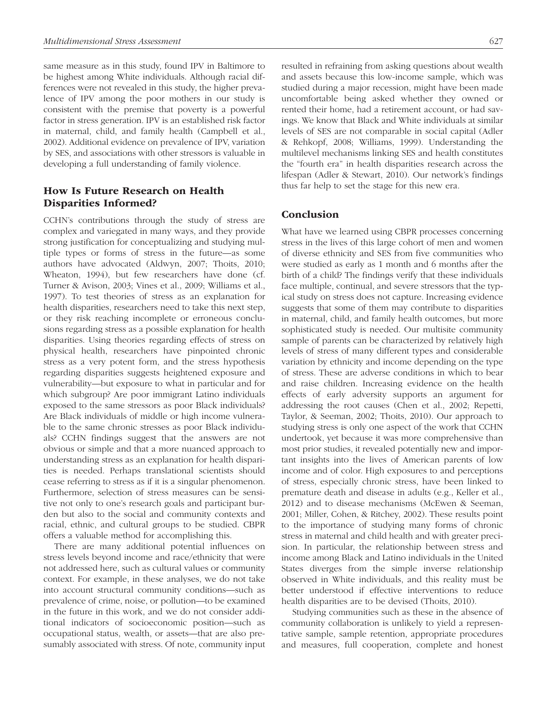same measure as in this study, found IPV in Baltimore to be highest among White individuals. Although racial differences were not revealed in this study, the higher prevalence of IPV among the poor mothers in our study is consistent with the premise that poverty is a powerful factor in stress generation. IPV is an established risk factor in maternal, child, and family health (Campbell et al., 2002). Additional evidence on prevalence of IPV, variation by SES, and associations with other stressors is valuable in developing a full understanding of family violence.

## How Is Future Research on Health Disparities Informed?

CCHN's contributions through the study of stress are complex and variegated in many ways, and they provide strong justification for conceptualizing and studying multiple types or forms of stress in the future—as some authors have advocated (Aldwyn, 2007; Thoits, 2010; Wheaton, 1994), but few researchers have done (cf. Turner & Avison, 2003; Vines et al., 2009; Williams et al., 1997). To test theories of stress as an explanation for health disparities, researchers need to take this next step, or they risk reaching incomplete or erroneous conclusions regarding stress as a possible explanation for health disparities. Using theories regarding effects of stress on physical health, researchers have pinpointed chronic stress as a very potent form, and the stress hypothesis regarding disparities suggests heightened exposure and vulnerability—but exposure to what in particular and for which subgroup? Are poor immigrant Latino individuals exposed to the same stressors as poor Black individuals? Are Black individuals of middle or high income vulnerable to the same chronic stresses as poor Black individuals? CCHN findings suggest that the answers are not obvious or simple and that a more nuanced approach to understanding stress as an explanation for health disparities is needed. Perhaps translational scientists should cease referring to stress as if it is a singular phenomenon. Furthermore, selection of stress measures can be sensitive not only to one's research goals and participant burden but also to the social and community contexts and racial, ethnic, and cultural groups to be studied. CBPR offers a valuable method for accomplishing this.

There are many additional potential influences on stress levels beyond income and race/ethnicity that were not addressed here, such as cultural values or community context. For example, in these analyses, we do not take into account structural community conditions—such as prevalence of crime, noise, or pollution—to be examined in the future in this work, and we do not consider additional indicators of socioeconomic position—such as occupational status, wealth, or assets—that are also presumably associated with stress. Of note, community input resulted in refraining from asking questions about wealth and assets because this low-income sample, which was studied during a major recession, might have been made uncomfortable being asked whether they owned or rented their home, had a retirement account, or had savings. We know that Black and White individuals at similar levels of SES are not comparable in social capital (Adler & Rehkopf, 2008; Williams, 1999). Understanding the multilevel mechanisms linking SES and health constitutes the "fourth era" in health disparities research across the lifespan (Adler & Stewart, 2010). Our network's findings thus far help to set the stage for this new era.

#### Conclusion

What have we learned using CBPR processes concerning stress in the lives of this large cohort of men and women of diverse ethnicity and SES from five communities who were studied as early as 1 month and 6 months after the birth of a child? The findings verify that these individuals face multiple, continual, and severe stressors that the typical study on stress does not capture. Increasing evidence suggests that some of them may contribute to disparities in maternal, child, and family health outcomes, but more sophisticated study is needed. Our multisite community sample of parents can be characterized by relatively high levels of stress of many different types and considerable variation by ethnicity and income depending on the type of stress. These are adverse conditions in which to bear and raise children. Increasing evidence on the health effects of early adversity supports an argument for addressing the root causes (Chen et al., 2002; Repetti, Taylor, & Seeman, 2002; Thoits, 2010). Our approach to studying stress is only one aspect of the work that CCHN undertook, yet because it was more comprehensive than most prior studies, it revealed potentially new and important insights into the lives of American parents of low income and of color. High exposures to and perceptions of stress, especially chronic stress, have been linked to premature death and disease in adults (e.g., Keller et al., 2012) and to disease mechanisms (McEwen & Seeman, 2001; Miller, Cohen, & Ritchey, 2002). These results point to the importance of studying many forms of chronic stress in maternal and child health and with greater precision. In particular, the relationship between stress and income among Black and Latino individuals in the United States diverges from the simple inverse relationship observed in White individuals, and this reality must be better understood if effective interventions to reduce health disparities are to be devised (Thoits, 2010).

Studying communities such as these in the absence of community collaboration is unlikely to yield a representative sample, sample retention, appropriate procedures and measures, full cooperation, complete and honest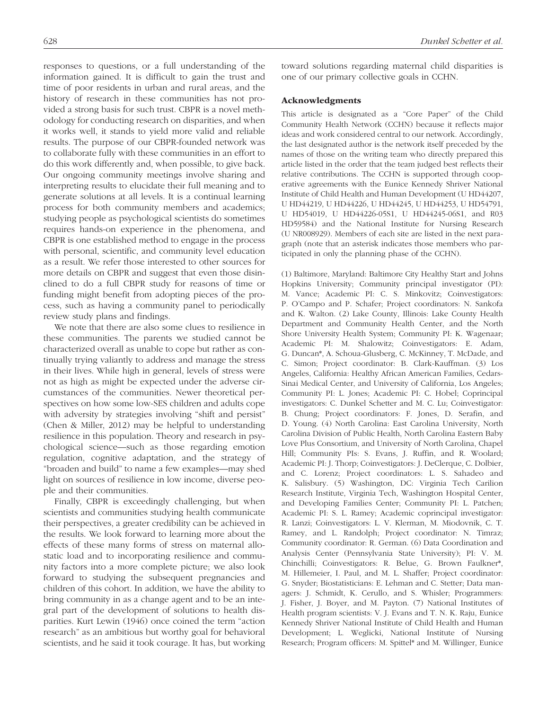responses to questions, or a full understanding of the information gained. It is difficult to gain the trust and time of poor residents in urban and rural areas, and the history of research in these communities has not provided a strong basis for such trust. CBPR is a novel methodology for conducting research on disparities, and when it works well, it stands to yield more valid and reliable results. The purpose of our CBPR-founded network was to collaborate fully with these communities in an effort to do this work differently and, when possible, to give back. Our ongoing community meetings involve sharing and interpreting results to elucidate their full meaning and to generate solutions at all levels. It is a continual learning process for both community members and academics; studying people as psychological scientists do sometimes requires hands-on experience in the phenomena, and CBPR is one established method to engage in the process with personal, scientific, and community level education as a result. We refer those interested to other sources for more details on CBPR and suggest that even those disinclined to do a full CBPR study for reasons of time or funding might benefit from adopting pieces of the process, such as having a community panel to periodically review study plans and findings.

We note that there are also some clues to resilience in these communities. The parents we studied cannot be characterized overall as unable to cope but rather as continually trying valiantly to address and manage the stress in their lives. While high in general, levels of stress were not as high as might be expected under the adverse circumstances of the communities. Newer theoretical perspectives on how some low-SES children and adults cope with adversity by strategies involving "shift and persist" (Chen & Miller, 2012) may be helpful to understanding resilience in this population. Theory and research in psychological science—such as those regarding emotion regulation, cognitive adaptation, and the strategy of "broaden and build" to name a few examples—may shed light on sources of resilience in low income, diverse people and their communities.

Finally, CBPR is exceedingly challenging, but when scientists and communities studying health communicate their perspectives, a greater credibility can be achieved in the results. We look forward to learning more about the effects of these many forms of stress on maternal allostatic load and to incorporating resilience and community factors into a more complete picture; we also look forward to studying the subsequent pregnancies and children of this cohort. In addition, we have the ability to bring community in as a change agent and to be an integral part of the development of solutions to health disparities. Kurt Lewin (1946) once coined the term "action research" as an ambitious but worthy goal for behavioral scientists, and he said it took courage. It has, but working

toward solutions regarding maternal child disparities is one of our primary collective goals in CCHN.

#### Acknowledgments

This article is designated as a "Core Paper" of the Child Community Health Network (CCHN) because it reflects major ideas and work considered central to our network. Accordingly, the last designated author is the network itself preceded by the names of those on the writing team who directly prepared this article listed in the order that the team judged best reflects their relative contributions. The CCHN is supported through cooperative agreements with the Eunice Kennedy Shriver National Institute of Child Health and Human Development (U HD44207, U HD44219, U HD44226, U HD44245, U HD44253, U HD54791, U HD54019, U HD44226-05S1, U HD44245-06S1, and R03 HD59584) and the National Institute for Nursing Research (U NR008929). Members of each site are listed in the next paragraph (note that an asterisk indicates those members who participated in only the planning phase of the CCHN).

(1) Baltimore, Maryland: Baltimore City Healthy Start and Johns Hopkins University; Community principal investigator (PI): M. Vance; Academic PI: C. S. Minkovitz; Coinvestigators: P. O'Campo and P. Schafer; Project coordinators: N. Sankofa and K. Walton. (2) Lake County, Illinois: Lake County Health Department and Community Health Center, and the North Shore University Health System; Community PI: K. Wagenaar; Academic PI: M. Shalowitz; Coinvestigators: E. Adam, G. Duncan\*, A. Schoua-Glusberg, C. McKinney, T. McDade, and C. Simon; Project coordinator: B. Clark-Kauffman. (3) Los Angeles, California: Healthy African American Families, Cedars-Sinai Medical Center, and University of California, Los Angeles; Community PI: L. Jones; Academic PI: C. Hobel; Coprincipal investigators: C. Dunkel Schetter and M. C. Lu; Coinvestigator: B. Chung; Project coordinators: F. Jones, D. Serafin, and D. Young. (4) North Carolina: East Carolina University, North Carolina Division of Public Health, North Carolina Eastern Baby Love Plus Consortium, and University of North Carolina, Chapel Hill; Community PIs: S. Evans, J. Ruffin, and R. Woolard; Academic PI: J. Thorp; Coinvestigators: J. DeClerque, C. Dolbier, and C. Lorenz; Project coordinators: L. S. Sahadeo and K. Salisbury. (5) Washington, DC: Virginia Tech Carilion Research Institute, Virginia Tech, Washington Hospital Center, and Developing Families Center; Community PI: L. Patchen; Academic PI: S. L. Ramey; Academic coprincipal investigator: R. Lanzi; Coinvestigators: L. V. Klerman, M. Miodovnik, C. T. Ramey, and L. Randolph; Project coordinator: N. Timraz; Community coordinator: R. German. (6) Data Coordination and Analysis Center (Pennsylvania State University); PI: V. M. Chinchilli; Coinvestigators: R. Belue, G. Brown Faulkner\*, M. Hillemeier, I. Paul, and M. L. Shaffer; Project coordinator: G. Snyder; Biostatisticians: E. Lehman and C. Stetter; Data managers: J. Schmidt, K. Cerullo, and S. Whisler; Programmers: J. Fisher, J. Boyer, and M. Payton. (7) National Institutes of Health program scientists: V. J. Evans and T. N. K. Raju, Eunice Kennedy Shriver National Institute of Child Health and Human Development; L. Weglicki, National Institute of Nursing Research; Program officers: M. Spittel\* and M. Willinger, Eunice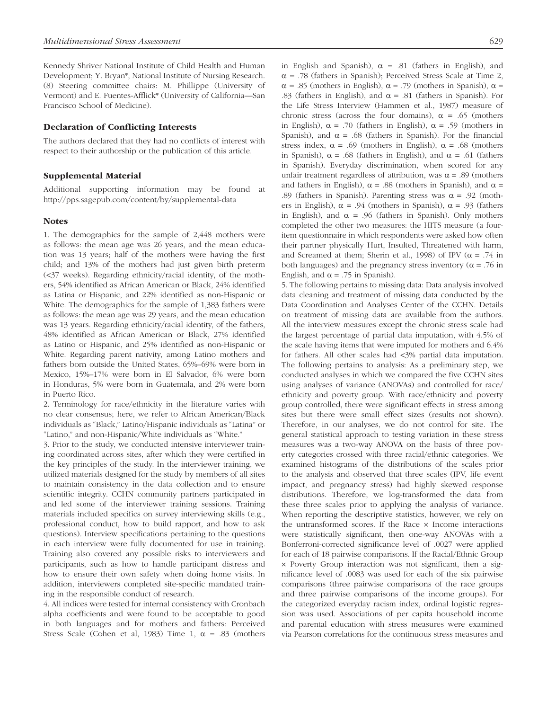Kennedy Shriver National Institute of Child Health and Human Development; Y. Bryan\*, National Institute of Nursing Research. (8) Steering committee chairs: M. Phillippe (University of Vermont) and E. Fuentes-Afflick\* (University of California—San Francisco School of Medicine).

#### Declaration of Conflicting Interests

The authors declared that they had no conflicts of interest with respect to their authorship or the publication of this article.

#### Supplemental Material

Additional supporting information may be found at http://pps.sagepub.com/content/by/supplemental-data

#### **Notes**

1. The demographics for the sample of 2,448 mothers were as follows: the mean age was 26 years, and the mean education was 13 years; half of the mothers were having the first child; and 13% of the mothers had just given birth preterm (<37 weeks). Regarding ethnicity/racial identity, of the mothers, 54% identified as African American or Black, 24% identified as Latina or Hispanic, and 22% identified as non-Hispanic or White. The demographics for the sample of 1,383 fathers were as follows: the mean age was 29 years, and the mean education was 13 years. Regarding ethnicity/racial identity, of the fathers, 48% identified as African American or Black, 27% identified as Latino or Hispanic, and 25% identified as non-Hispanic or White. Regarding parent nativity, among Latino mothers and fathers born outside the United States, 65%–69% were born in Mexico, 15%–17% were born in El Salvador, 6% were born in Honduras, 5% were born in Guatemala, and 2% were born in Puerto Rico.

2. Terminology for race/ethnicity in the literature varies with no clear consensus; here, we refer to African American/Black individuals as "Black," Latino/Hispanic individuals as "Latina" or "Latino," and non-Hispanic/White individuals as "White."

3. Prior to the study, we conducted intensive interviewer training coordinated across sites, after which they were certified in the key principles of the study. In the interviewer training, we utilized materials designed for the study by members of all sites to maintain consistency in the data collection and to ensure scientific integrity. CCHN community partners participated in and led some of the interviewer training sessions. Training materials included specifics on survey interviewing skills (e.g., professional conduct, how to build rapport, and how to ask questions). Interview specifications pertaining to the questions in each interview were fully documented for use in training. Training also covered any possible risks to interviewers and participants, such as how to handle participant distress and how to ensure their own safety when doing home visits. In addition, interviewers completed site-specific mandated training in the responsible conduct of research.

4. All indices were tested for internal consistency with Cronbach alpha coefficients and were found to be acceptable to good in both languages and for mothers and fathers: Perceived Stress Scale (Cohen et al, 1983) Time 1,  $\alpha = .83$  (mothers in English and Spanish),  $\alpha = .81$  (fathers in English), and  $\alpha$  = .78 (fathers in Spanish); Perceived Stress Scale at Time 2,  $\alpha$  = .85 (mothers in English),  $\alpha$  = .79 (mothers in Spanish),  $\alpha$  = .83 (fathers in English), and  $\alpha = .81$  (fathers in Spanish). For the Life Stress Interview (Hammen et al., 1987) measure of chronic stress (across the four domains),  $\alpha = .65$  (mothers in English),  $\alpha = .70$  (fathers in English),  $\alpha = .59$  (mothers in Spanish), and  $\alpha = .68$  (fathers in Spanish). For the financial stress index,  $\alpha = .69$  (mothers in English),  $\alpha = .68$  (mothers in Spanish),  $\alpha$  = .68 (fathers in English), and  $\alpha$  = .61 (fathers in Spanish). Everyday discrimination, when scored for any unfair treatment regardless of attribution, was  $\alpha$  = .89 (mothers and fathers in English),  $\alpha = .88$  (mothers in Spanish), and  $\alpha =$ .89 (fathers in Spanish). Parenting stress was α = .92 (mothers in English),  $\alpha = .94$  (mothers in Spanish),  $\alpha = .93$  (fathers in English), and  $\alpha = .96$  (fathers in Spanish). Only mothers completed the other two measures: the HITS measure (a fouritem questionnaire in which respondents were asked how often their partner physically Hurt, Insulted, Threatened with harm, and Screamed at them; Sherin et al., 1998) of IPV ( $\alpha$  = .74 in both languages) and the pregnancy stress inventory ( $\alpha$  = .76 in English, and  $\alpha = .75$  in Spanish).

5. The following pertains to missing data: Data analysis involved data cleaning and treatment of missing data conducted by the Data Coordination and Analyses Center of the CCHN. Details on treatment of missing data are available from the authors. All the interview measures except the chronic stress scale had the largest percentage of partial data imputation, with 4.5% of the scale having items that were imputed for mothers and 6.4% for fathers. All other scales had <3% partial data imputation. The following pertains to analysis: As a preliminary step, we conducted analyses in which we compared the five CCHN sites using analyses of variance (ANOVAs) and controlled for race/ ethnicity and poverty group. With race/ethnicity and poverty group controlled, there were significant effects in stress among sites but there were small effect sizes (results not shown). Therefore, in our analyses, we do not control for site. The general statistical approach to testing variation in these stress measures was a two-way ANOVA on the basis of three poverty categories crossed with three racial/ethnic categories. We examined histograms of the distributions of the scales prior to the analysis and observed that three scales (IPV, life event impact, and pregnancy stress) had highly skewed response distributions. Therefore, we log-transformed the data from these three scales prior to applying the analysis of variance. When reporting the descriptive statistics, however, we rely on the untransformed scores. If the Race × Income interactions were statistically significant, then one-way ANOVAs with a Bonferroni-corrected significance level of .0027 were applied for each of 18 pairwise comparisons. If the Racial/Ethnic Group × Poverty Group interaction was not significant, then a significance level of .0083 was used for each of the six pairwise comparisons (three pairwise comparisons of the race groups and three pairwise comparisons of the income groups). For the categorized everyday racism index, ordinal logistic regression was used. Associations of per capita household income and parental education with stress measures were examined via Pearson correlations for the continuous stress measures and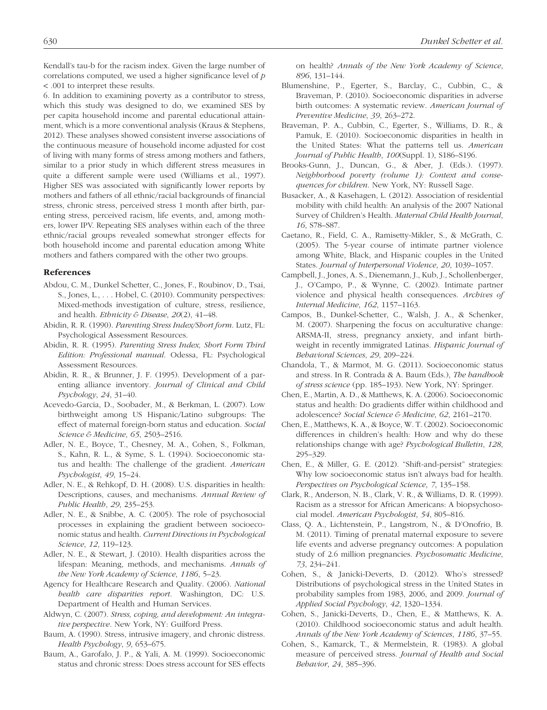Kendall's tau-b for the racism index. Given the large number of correlations computed, we used a higher significance level of *p* < .001 to interpret these results.

6. In addition to examining poverty as a contributor to stress, which this study was designed to do, we examined SES by per capita household income and parental educational attainment, which is a more conventional analysis (Kraus & Stephens, 2012). These analyses showed consistent inverse associations of the continuous measure of household income adjusted for cost of living with many forms of stress among mothers and fathers, similar to a prior study in which different stress measures in quite a different sample were used (Williams et al., 1997). Higher SES was associated with significantly lower reports by mothers and fathers of all ethnic/racial backgrounds of financial stress, chronic stress, perceived stress 1 month after birth, parenting stress, perceived racism, life events, and, among mothers, lower IPV. Repeating SES analyses within each of the three ethnic/racial groups revealed somewhat stronger effects for both household income and parental education among White mothers and fathers compared with the other two groups.

#### References

- Abdou, C. M., Dunkel Schetter, C., Jones, F., Roubinov, D., Tsai, S., Jones, L., . . . Hobel, C. (2010). Community perspectives: Mixed-methods investigation of culture, stress, resilience, and health. *Ethnicity & Disease*, *20*(2), 41–48.
- Abidin, R. R. (1990). *Parenting Stress Index/Short form*. Lutz, FL: Psychological Assessment Resources.
- Abidin, R. R. (1995). *Parenting Stress Index, Short Form Third Edition: Professional manual*. Odessa, FL: Psychological Assessment Resources.
- Abidin, R. R., & Brunner, J. F. (1995). Development of a parenting alliance inventory. *Journal of Clinical and Child Psychology*, *24*, 31–40.
- Acevedo-Garcia, D., Soobader, M., & Berkman, L. (2007). Low birthweight among US Hispanic/Latino subgroups: The effect of maternal foreign-born status and education. *Social Science & Medicine*, *65*, 2503–2516.
- Adler, N. E., Boyce, T., Chesney, M. A., Cohen, S., Folkman, S., Kahn, R. L., & Syme, S. L. (1994). Socioeconomic status and health: The challenge of the gradient. *American Psychologist*, *49*, 15–24.
- Adler, N. E., & Rehkopf, D. H. (2008). U.S. disparities in health: Descriptions, causes, and mechanisms. *Annual Review of Public Health*, *29*, 235–253.
- Adler, N. E., & Snibbe, A. C. (2005). The role of psychosocial processes in explaining the gradient between socioeconomic status and health. *Current Directions in Psychological Science*, *12*, 119–123.
- Adler, N. E., & Stewart, J. (2010). Health disparities across the lifespan: Meaning, methods, and mechanisms. *Annals of the New York Academy of Science*, *1186*, 5–23.
- Agency for Healthcare Research and Quality. (2006). *National health care disparities report*. Washington, DC: U.S. Department of Health and Human Services.
- Aldwyn, C. (2007). *Stress, coping, and development: An integrative perspective*. New York, NY: Guilford Press.
- Baum, A. (1990). Stress, intrusive imagery, and chronic distress. *Health Psychology*, *9*, 653–675.
- Baum, A., Garofalo, J. P., & Yali, A. M. (1999). Socioeconomic status and chronic stress: Does stress account for SES effects

on health? *Annals of the New York Academy of Science*, *896*, 131–144.

- Blumenshine, P., Egerter, S., Barclay, C., Cubbin, C., & Braveman, P. (2010). Socioeconomic disparities in adverse birth outcomes: A systematic review. *American Journal of Preventive Medicine*, *39*, 263–272.
- Braveman, P. A., Cubbin, C., Egerter, S., Williams, D. R., & Pamuk, E. (2010). Socioeconomic disparities in health in the United States: What the patterns tell us. *American Journal of Public Health*, *100*(Suppl. 1), S186–S196.
- Brooks-Gunn, J., Duncan, G., & Aber, J. (Eds.). (1997). *Neighborhood poverty (volume 1): Context and consequences for children*. New York, NY: Russell Sage.
- Busacker, A., & Kasehagen, L. (2012). Association of residential mobility with child health: An analysis of the 2007 National Survey of Children's Health. *Maternal Child Health Journal*, *16*, S78–S87.
- Caetano, R., Field, C. A., Ramisetty-Mikler, S., & McGrath, C. (2005). The 5-year course of intimate partner violence among White, Black, and Hispanic couples in the United States. *Journal of Interpersonal Violence*, *20*, 1039–1057.
- Campbell, J., Jones, A. S., Dienemann, J., Kub, J., Schollenberger, J., O'Campo, P., & Wynne, C. (2002). Intimate partner violence and physical health consequences. *Archives of Internal Medicine*, *162*, 1157–1163.
- Campos, B., Dunkel-Schetter, C., Walsh, J. A., & Schenker, M. (2007). Sharpening the focus on acculturative change: ARSMA-II, stress, pregnancy anxiety, and infant birthweight in recently immigrated Latinas. *Hispanic Journal of Behavioral Sciences*, *29*, 209–224.
- Chandola, T., & Marmot, M. G. (2011). Socioeconomic status and stress. In R. Contrada & A. Baum (Eds.), *The handbook of stress science* (pp. 185–193). New York, NY: Springer.
- Chen, E., Martin, A. D., & Matthews, K. A. (2006). Socioeconomic status and health: Do gradients differ within childhood and adolescence? *Social Science & Medicine*, *62*, 2161–2170.
- Chen, E., Matthews, K. A., & Boyce, W. T. (2002). Socioeconomic differences in children's health: How and why do these relationships change with age? *Psychological Bulletin*, *128*, 295–329.
- Chen, E., & Miller, G. E. (2012). "Shift-and-persist" strategies: Why low socioeconomic status isn't always bad for health. *Perspectives on Psychological Science*, *7*, 135–158.
- Clark, R., Anderson, N. B., Clark, V. R., & Williams, D. R. (1999). Racism as a stressor for African Americans: A biopsychosocial model. *American Psychologist*, *54*, 805–816.
- Class, Q. A., Lichtenstein, P., Langstrom, N., & D'Onofrio, B. M. (2011). Timing of prenatal maternal exposure to severe life events and adverse pregnancy outcomes: A population study of 2.6 million pregnancies. *Psychosomatic Medicine*, *73*, 234–241.
- Cohen, S., & Janicki-Deverts, D. (2012). Who's stressed? Distributions of psychological stress in the United States in probability samples from 1983, 2006, and 2009. *Journal of Applied Social Psychology*, *42*, 1320–1334.
- Cohen, S., Janicki-Deverts, D., Chen, E., & Matthews, K. A. (2010). Childhood socioeconomic status and adult health. *Annals of the New York Academy of Sciences*, *1186*, 37–55.
- Cohen, S., Kamarck, T., & Mermelstein, R. (1983). A global measure of perceived stress. *Journal of Health and Social Behavior*, *24*, 385–396.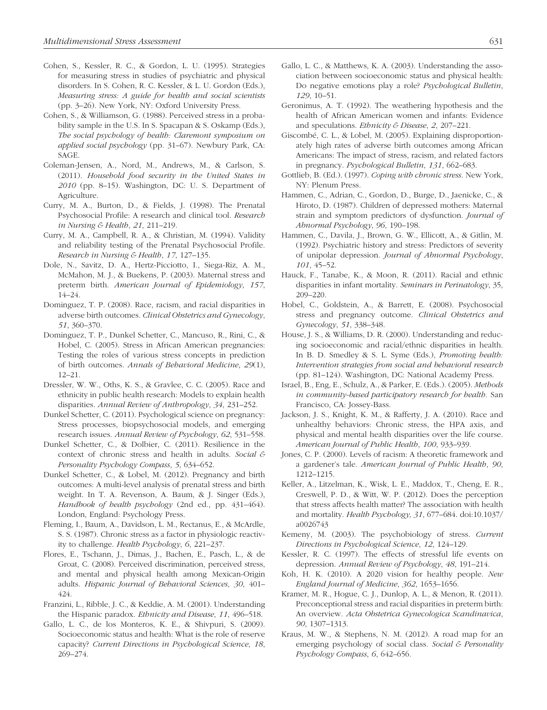- Cohen, S., Kessler, R. C., & Gordon, L. U. (1995). Strategies for measuring stress in studies of psychiatric and physical disorders. In S. Cohen, R. C. Kessler, & L. U. Gordon (Eds.), *Measuring stress: A guide for health and social scientists* (pp. 3–26). New York, NY: Oxford University Press.
- Cohen, S., & Williamson, G. (1988). Perceived stress in a probability sample in the U.S. In S. Spacapan & S. Oskamp (Eds.), *The social psychology of health: Claremont symposium on applied social psychology* (pp. 31–67). Newbury Park, CA: SAGE.
- Coleman-Jensen, A., Nord, M., Andrews, M., & Carlson, S. (2011). *Household food security in the United States in 2010* (pp. 8–15). Washington, DC: U. S. Department of Agriculture.
- Curry, M. A., Burton, D., & Fields, J. (1998). The Prenatal Psychosocial Profile: A research and clinical tool. *Research in Nursing & Health*, *21*, 211–219.
- Curry, M. A., Campbell, R. A., & Christian, M. (1994). Validity and reliability testing of the Prenatal Psychosocial Profile. *Research in Nursing & Health*, *17*, 127–135.
- Dole, N., Savitz, D. A., Hertz-Picciotto, I., Siega-Riz, A. M., McMahon, M. J., & Buekens, P. (2003). Maternal stress and preterm birth. *American Journal of Epidemiology*, *157*, 14–24.
- Dominguez, T. P. (2008). Race, racism, and racial disparities in adverse birth outcomes. *Clinical Obstetrics and Gynecology*, *51*, 360–370.
- Dominguez, T. P., Dunkel Schetter, C., Mancuso, R., Rini, C., & Hobel, C. (2005). Stress in African American pregnancies: Testing the roles of various stress concepts in prediction of birth outcomes. *Annals of Behavioral Medicine*, *29*(1), 12–21.
- Dressler, W. W., Oths, K. S., & Gravlee, C. C. (2005). Race and ethnicity in public health research: Models to explain health disparities. *Annual Review of Anthropology*, *34*, 231–252.
- Dunkel Schetter, C. (2011). Psychological science on pregnancy: Stress processes, biopsychosocial models, and emerging research issues. *Annual Review of Psychology*, *62*, 531–558.
- Dunkel Schetter, C., & Dolbier, C. (2011). Resilience in the context of chronic stress and health in adults. *Social & Personality Psychology Compass*, *5*, 634–652.
- Dunkel Schetter, C., & Lobel, M. (2012). Pregnancy and birth outcomes: A multi-level analysis of prenatal stress and birth weight. In T. A. Revenson, A. Baum, & J. Singer (Eds.), *Handbook of health psychology* (2nd ed., pp. 431–464). London, England: Psychology Press.
- Fleming, I., Baum, A., Davidson, L. M., Rectanus, E., & McArdle, S. S. (1987). Chronic stress as a factor in physiologic reactivity to challenge. *Health Psychology*, *6*, 221–237.
- Flores, E., Tschann, J., Dimas, J., Bachen, E., Pasch, L., & de Groat, C. (2008). Perceived discrimination, perceived stress, and mental and physical health among Mexican-Origin adults. *Hispanic Journal of Behavioral Sciences*, *30*, 401– 424.
- Franzini, L., Ribble, J. C., & Keddie, A. M. (2001). Understanding the Hispanic paradox. *Ethnicity and Disease*, *11*, 496–518.
- Gallo, L. C., de los Monteros, K. E., & Shivpuri, S. (2009). Socioeconomic status and health: What is the role of reserve capacity? *Current Directions in Psychological Science*, *18*, 269–274.
- Gallo, L. C., & Matthews, K. A. (2003). Understanding the association between socioeconomic status and physical health: Do negative emotions play a role? *Psychological Bulletin*, *129*, 10–51.
- Geronimus, A. T. (1992). The weathering hypothesis and the health of African American women and infants: Evidence and speculations. *Ethnicity & Disease*, *2*, 207–221.
- Giscombé, C. L., & Lobel, M. (2005). Explaining disproportionately high rates of adverse birth outcomes among African Americans: The impact of stress, racism, and related factors in pregnancy. *Psychological Bulletin*, *131*, 662–683.
- Gottlieb, B. (Ed.). (1997). *Coping with chronic stress*. New York, NY: Plenum Press.
- Hammen, C., Adrian, C., Gordon, D., Burge, D., Jaenicke, C., & Hiroto, D. (1987). Children of depressed mothers: Maternal strain and symptom predictors of dysfunction. *Journal of Abnormal Psychology*, *96*, 190–198.
- Hammen, C., Davila, J., Brown, G. W., Ellicott, A., & Gitlin, M. (1992). Psychiatric history and stress: Predictors of severity of unipolar depression. *Journal of Abnormal Psychology*, *101*, 45–52.
- Hauck, F., Tanabe, K., & Moon, R. (2011). Racial and ethnic disparities in infant mortality. *Seminars in Perinatology*, 35, 209–220.
- Hobel, C., Goldstein, A., & Barrett, E. (2008). Psychosocial stress and pregnancy outcome. *Clinical Obstetrics and Gynecology*, *51*, 338–348.
- House, J. S., & Williams, D. R. (2000). Understanding and reducing socioeconomic and racial/ethnic disparities in health. In B. D. Smedley & S. L. Syme (Eds.), *Promoting health: Intervention strategies from social and behavioral research* (pp. 81–124). Washington, DC: National Academy Press.
- Israel, B., Eng, E., Schulz, A., & Parker, E. (Eds.). (2005). *Methods in community-based participatory research for health*. San Francisco, CA: Jossey-Bass.
- Jackson, J. S., Knight, K. M., & Rafferty, J. A. (2010). Race and unhealthy behaviors: Chronic stress, the HPA axis, and physical and mental health disparities over the life course. *American Journal of Public Health*, *100*, 933–939.
- Jones, C. P. (2000). Levels of racism: A theoretic framework and a gardener's tale. *American Journal of Public Health*, *90*, 1212–1215.
- Keller, A., Litzelman, K., Wisk, L. E., Maddox, T., Cheng, E. R., Creswell, P. D., & Witt, W. P. (2012). Does the perception that stress affects health matter? The association with health and mortality. *Health Psychology, 31*, 677–684. doi:10.1037/ a0026743
- Kemeny, M. (2003). The psychobiology of stress. *Current Directions in Psychological Science*, *12*, 124–129.
- Kessler, R. C. (1997). The effects of stressful life events on depression. *Annual Review of Psychology*, *48*, 191–214.
- Koh, H. K. (2010). A 2020 vision for healthy people. *New England Journal of Medicine*, *362*, 1653–1656.
- Kramer, M. R., Hogue, C. J., Dunlop, A. L., & Menon, R. (2011). Preconceptional stress and racial disparities in preterm birth: An overview. *Acta Obstetrica Gynecologica Scandinavica*, *90*, 1307–1313.
- Kraus, M. W., & Stephens, N. M. (2012). A road map for an emerging psychology of social class. *Social & Personality Psychology Compass*, *6*, 642–656.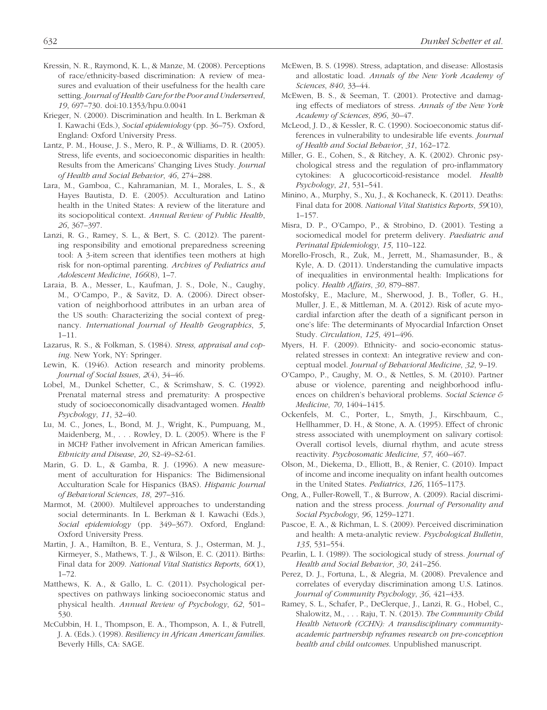- Kressin, N. R., Raymond, K. L., & Manze, M. (2008). Perceptions of race/ethnicity-based discrimination: A review of measures and evaluation of their usefulness for the health care setting. *Journal of Health Care for the Poor and Underserved*, *19*, 697–730. doi:10.1353/hpu.0.0041
- Krieger, N. (2000). Discrimination and health. In L. Berkman & I. Kawachi (Eds.), *Social epidemiology* (pp. 36–75). Oxford, England: Oxford University Press.
- Lantz, P. M., House, J. S., Mero, R. P., & Williams, D. R. (2005). Stress, life events, and socioeconomic disparities in health: Results from the Americans' Changing Lives Study. *Journal of Health and Social Behavior*, *46*, 274–288.
- Lara, M., Gamboa, C., Kahramanian, M. I., Morales, L. S., & Hayes Bautista, D. E. (2005). Acculturation and Latino health in the United States: A review of the literature and its sociopolitical context. *Annual Review of Public Health*, *26*, 367–397.
- Lanzi, R. G., Ramey, S. L., & Bert, S. C. (2012). The parenting responsibility and emotional preparedness screening tool: A 3-item screen that identifies teen mothers at high risk for non-optimal parenting. *Archives of Pediatrics and Adolescent Medicine*, *166*(8), 1–7.
- Laraia, B. A., Messer, L., Kaufman, J. S., Dole, N., Caughy, M., O'Campo, P., & Savitz, D. A. (2006). Direct observation of neighborhood attributes in an urban area of the US south: Characterizing the social context of pregnancy. *International Journal of Health Geographics*, *5*, 1–11.
- Lazarus, R. S., & Folkman, S. (1984). *Stress, appraisal and coping*. New York, NY: Springer.
- Lewin, K. (1946). Action research and minority problems. *Journal of Social Issues*, *2*(4), 34–46.
- Lobel, M., Dunkel Schetter, C., & Scrimshaw, S. C. (1992). Prenatal maternal stress and prematurity: A prospective study of socioeconomically disadvantaged women. *Health Psychology*, *11*, 32–40.
- Lu, M. C., Jones, L., Bond, M. J., Wright, K., Pumpuang, M., Maidenberg, M., . . . Rowley, D. L. (2005). Where is the F in MCH? Father involvement in African American families. *Ethnicity and Disease*, *20*, S2-49–S2-61.
- Marin, G. D. L., & Gamba, R. J. (1996). A new measurement of acculturation for Hispanics: The Bidimensional Acculturation Scale for Hispanics (BAS). *Hispanic Journal of Behavioral Sciences*, *18*, 297–316.
- Marmot, M. (2000). Multilevel approaches to understanding social determinants. In L. Berkman & I. Kawachi (Eds.), *Social epidemiology* (pp. 349–367). Oxford, England: Oxford University Press.
- Martin, J. A., Hamilton, B. E., Ventura, S. J., Osterman, M. J., Kirmeyer, S., Mathews, T. J., & Wilson, E. C. (2011). Births: Final data for 2009. *National Vital Statistics Reports*, *60*(1), 1–72.
- Matthews, K. A., & Gallo, L. C. (2011). Psychological perspectives on pathways linking socioeconomic status and physical health. *Annual Review of Psychology*, *62*, 501– 530.
- McCubbin, H. I., Thompson, E. A., Thompson, A. I., & Futrell, J. A. (Eds.). (1998). *Resiliency in African American families*. Beverly Hills, CA: SAGE.
- McEwen, B. S. (1998). Stress, adaptation, and disease: Allostasis and allostatic load. *Annals of the New York Academy of Sciences*, *840*, 33–44.
- McEwen, B. S., & Seeman, T. (2001). Protective and damaging effects of mediators of stress. *Annals of the New York Academy of Sciences*, *896*, 30–47.
- McLeod, J. D., & Kessler, R. C. (1990). Socioeconomic status differences in vulnerability to undesirable life events. *Journal of Health and Social Behavior*, *31*, 162–172.
- Miller, G. E., Cohen, S., & Ritchey, A. K. (2002). Chronic psychological stress and the regulation of pro-inflammatory cytokines: A glucocorticoid-resistance model. *Health Psychology*, *21*, 531–541.
- Minino, A., Murphy, S., Xu, J., & Kochaneck, K. (2011). Deaths: Final data for 2008. *National Vital Statistics Reports*, *59*(10), 1–157.
- Misra, D. P., O'Campo, P., & Strobino, D. (2001). Testing a sociomedical model for preterm delivery. *Paediatric and Perinatal Epidemiology*, *15*, 110–122.
- Morello-Frosch, R., Zuk, M., Jerrett, M., Shamasunder, B., & Kyle, A. D. (2011). Understanding the cumulative impacts of inequalities in environmental health: Implications for policy. *Health Affairs*, *30*, 879–887.
- Mostofsky, E., Maclure, M., Sherwood, J. B., Tofler, G. H., Muller, J. E., & Mittleman, M. A. (2012). Risk of acute myocardial infarction after the death of a significant person in one's life: The determinants of Myocardial Infarction Onset Study. *Circulation*, *125*, 491–496.
- Myers, H. F. (2009). Ethnicity- and socio-economic statusrelated stresses in context: An integrative review and conceptual model. *Journal of Behavioral Medicine*, *32*, 9–19.
- O'Campo, P., Caughy, M. O., & Nettles, S. M. (2010). Partner abuse or violence, parenting and neighborhood influences on children's behavioral problems. *Social Science & Medicine*, *70*, 1404–1415.
- Ockenfels, M. C., Porter, L., Smyth, J., Kirschbaum, C., Hellhammer, D. H., & Stone, A. A. (1995). Effect of chronic stress associated with unemployment on salivary cortisol: Overall cortisol levels, diurnal rhythm, and acute stress reactivity. *Psychosomatic Medicine*, *57*, 460–467.
- Olson, M., Diekema, D., Elliott, B., & Renier, C. (2010). Impact of income and income inequality on infant health outcomes in the United States. *Pediatrics*, *126*, 1165–1173.
- Ong, A., Fuller-Rowell, T., & Burrow, A. (2009). Racial discrimination and the stress process. *Journal of Personality and Social Psychology*, *96*, 1259–1271.
- Pascoe, E. A., & Richman, L. S. (2009). Perceived discrimination and health: A meta-analytic review. *Psychological Bulletin*, *135*, 531–554.
- Pearlin, L. I. (1989). The sociological study of stress. *Journal of Health and Social Behavior*, *30*, 241–256.
- Perez, D. J., Fortuna, L., & Alegria, M. (2008). Prevalence and correlates of everyday discrimination among U.S. Latinos. *Journal of Community Psychology*, *36*, 421–433.
- Ramey, S. L., Schafer, P., DeClerque, J., Lanzi, R. G., Hobel, C., Shalowitz, M., . . . Raju, T. N. (2013). *The Community Child Health Network (CCHN): A transdisciplinary communityacademic partnership reframes research on pre-conception health and child outcomes*. Unpublished manuscript.